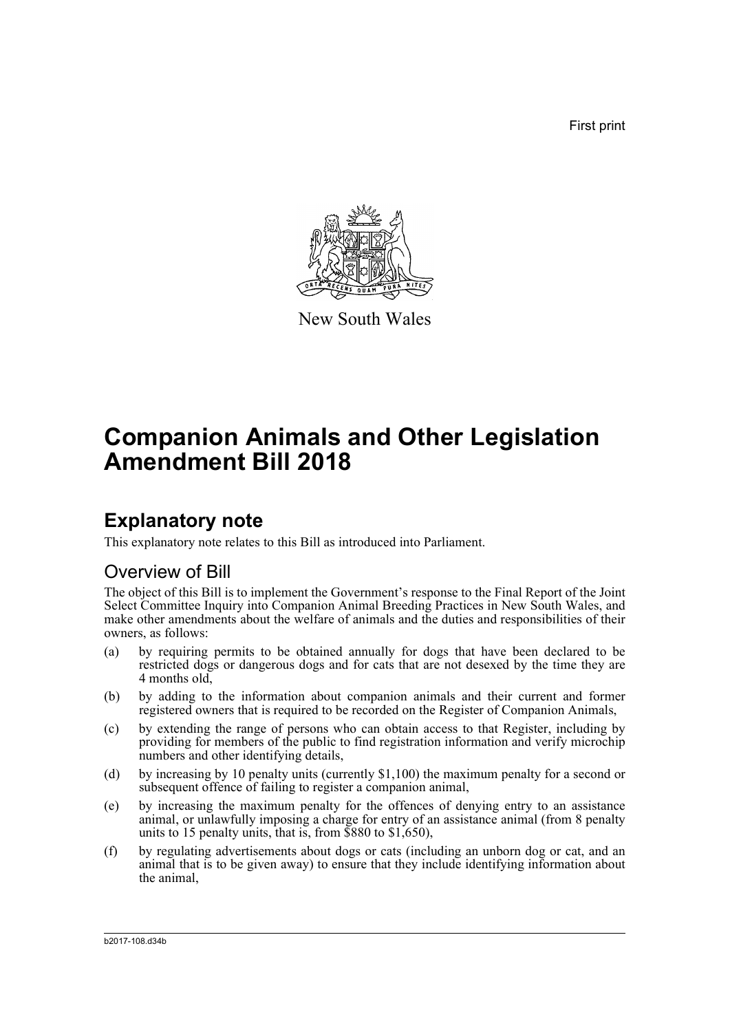First print



New South Wales

# **Companion Animals and Other Legislation Amendment Bill 2018**

### **Explanatory note**

This explanatory note relates to this Bill as introduced into Parliament.

### Overview of Bill

The object of this Bill is to implement the Government's response to the Final Report of the Joint Select Committee Inquiry into Companion Animal Breeding Practices in New South Wales, and make other amendments about the welfare of animals and the duties and responsibilities of their owners, as follows:

- (a) by requiring permits to be obtained annually for dogs that have been declared to be restricted dogs or dangerous dogs and for cats that are not desexed by the time they are 4 months old,
- (b) by adding to the information about companion animals and their current and former registered owners that is required to be recorded on the Register of Companion Animals,
- (c) by extending the range of persons who can obtain access to that Register, including by providing for members of the public to find registration information and verify microchip numbers and other identifying details,
- (d) by increasing by 10 penalty units (currently \$1,100) the maximum penalty for a second or subsequent offence of failing to register a companion animal,
- (e) by increasing the maximum penalty for the offences of denying entry to an assistance animal, or unlawfully imposing a charge for entry of an assistance animal (from 8 penalty units to 15 penalty units, that is, from \$880 to \$1,650),
- (f) by regulating advertisements about dogs or cats (including an unborn dog or cat, and an animal that is to be given away) to ensure that they include identifying information about the animal,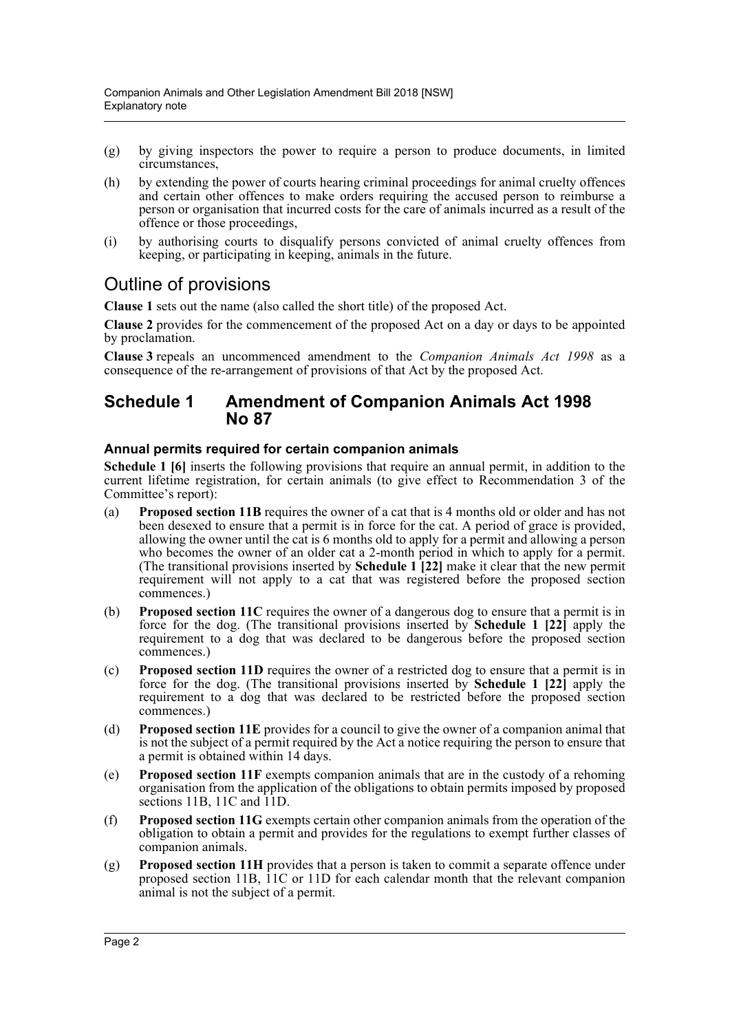- (g) by giving inspectors the power to require a person to produce documents, in limited circumstances,
- (h) by extending the power of courts hearing criminal proceedings for animal cruelty offences and certain other offences to make orders requiring the accused person to reimburse a person or organisation that incurred costs for the care of animals incurred as a result of the offence or those proceedings,
- (i) by authorising courts to disqualify persons convicted of animal cruelty offences from keeping, or participating in keeping, animals in the future.

### Outline of provisions

**Clause 1** sets out the name (also called the short title) of the proposed Act.

**Clause 2** provides for the commencement of the proposed Act on a day or days to be appointed by proclamation.

**Clause 3** repeals an uncommenced amendment to the *Companion Animals Act 1998* as a consequence of the re-arrangement of provisions of that Act by the proposed Act.

### **Schedule 1 Amendment of Companion Animals Act 1998 No 87**

### **Annual permits required for certain companion animals**

**Schedule 1 [6]** inserts the following provisions that require an annual permit, in addition to the current lifetime registration, for certain animals (to give effect to Recommendation 3 of the Committee's report):

- (a) **Proposed section 11B** requires the owner of a cat that is 4 months old or older and has not been desexed to ensure that a permit is in force for the cat. A period of grace is provided, allowing the owner until the cat is 6 months old to apply for a permit and allowing a person who becomes the owner of an older cat a 2-month period in which to apply for a permit. (The transitional provisions inserted by **Schedule 1 [22]** make it clear that the new permit requirement will not apply to a cat that was registered before the proposed section commences.)
- (b) **Proposed section 11C** requires the owner of a dangerous dog to ensure that a permit is in force for the dog. (The transitional provisions inserted by **Schedule 1 [22]** apply the requirement to a dog that was declared to be dangerous before the proposed section commences.)
- (c) **Proposed section 11D** requires the owner of a restricted dog to ensure that a permit is in force for the dog. (The transitional provisions inserted by **Schedule 1 [22]** apply the requirement to a dog that was declared to be restricted before the proposed section commences.)
- (d) **Proposed section 11E** provides for a council to give the owner of a companion animal that is not the subject of a permit required by the Act a notice requiring the person to ensure that a permit is obtained within 14 days.
- (e) **Proposed section 11F** exempts companion animals that are in the custody of a rehoming organisation from the application of the obligations to obtain permits imposed by proposed sections 11B, 11C and  $\overline{11}D$ .
- (f) **Proposed section 11G** exempts certain other companion animals from the operation of the obligation to obtain a permit and provides for the regulations to exempt further classes of companion animals.
- (g) **Proposed section 11H** provides that a person is taken to commit a separate offence under proposed section 11B, 11C or 11D for each calendar month that the relevant companion animal is not the subject of a permit.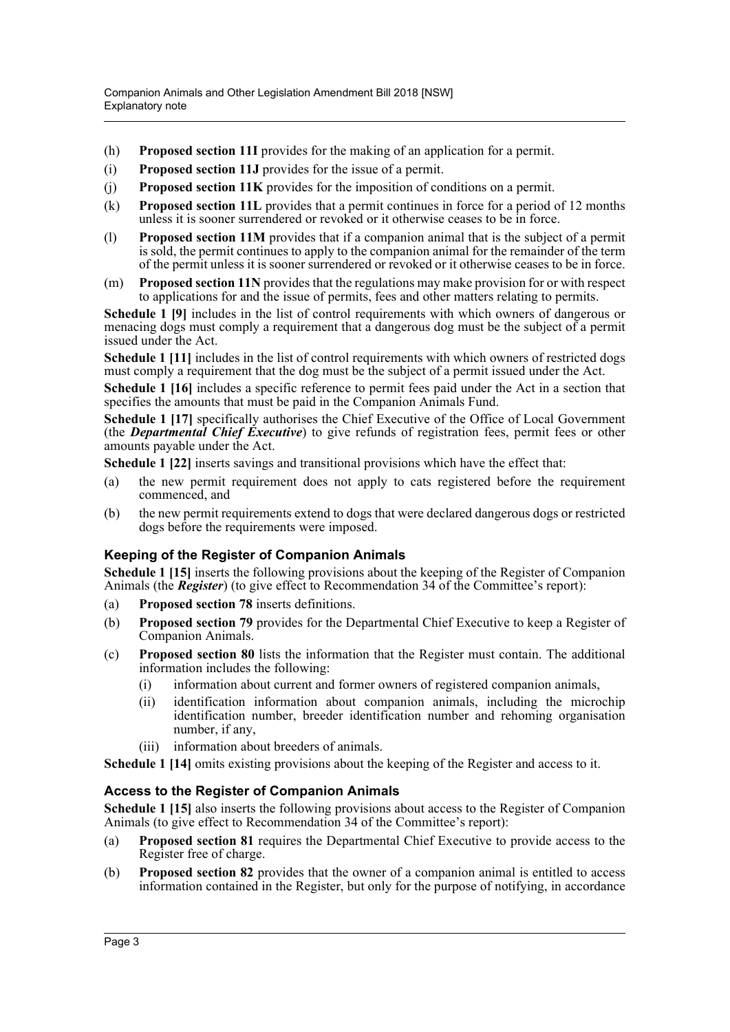- (h) **Proposed section 11I** provides for the making of an application for a permit.
- (i) **Proposed section 11J** provides for the issue of a permit.
- (j) **Proposed section 11K** provides for the imposition of conditions on a permit.
- (k) **Proposed section 11L** provides that a permit continues in force for a period of 12 months unless it is sooner surrendered or revoked or it otherwise ceases to be in force.
- (l) **Proposed section 11M** provides that if a companion animal that is the subject of a permit is sold, the permit continues to apply to the companion animal for the remainder of the term of the permit unless it is sooner surrendered or revoked or it otherwise ceases to be in force.
- (m) **Proposed section 11N** provides that the regulations may make provision for or with respect to applications for and the issue of permits, fees and other matters relating to permits.

**Schedule 1 [9]** includes in the list of control requirements with which owners of dangerous or menacing dogs must comply a requirement that a dangerous dog must be the subject of a permit issued under the Act.

**Schedule 1** [11] includes in the list of control requirements with which owners of restricted dogs must comply a requirement that the dog must be the subject of a permit issued under the Act.

**Schedule 1 [16]** includes a specific reference to permit fees paid under the Act in a section that specifies the amounts that must be paid in the Companion Animals Fund.

Schedule 1 [17] specifically authorises the Chief Executive of the Office of Local Government (the *Departmental Chief Executive*) to give refunds of registration fees, permit fees or other amounts payable under the Act.

**Schedule 1 [22]** inserts savings and transitional provisions which have the effect that:

- (a) the new permit requirement does not apply to cats registered before the requirement commenced, and
- (b) the new permit requirements extend to dogs that were declared dangerous dogs or restricted dogs before the requirements were imposed.

### **Keeping of the Register of Companion Animals**

**Schedule 1 [15]** inserts the following provisions about the keeping of the Register of Companion Animals (the *Register*) (to give effect to Recommendation 34 of the Committee's report):

- (a) **Proposed section 78** inserts definitions.
- (b) **Proposed section 79** provides for the Departmental Chief Executive to keep a Register of Companion Animals.
- (c) **Proposed section 80** lists the information that the Register must contain. The additional information includes the following:
	- (i) information about current and former owners of registered companion animals,
	- (ii) identification information about companion animals, including the microchip identification number, breeder identification number and rehoming organisation number, if any,
	- (iii) information about breeders of animals.

**Schedule 1 [14]** omits existing provisions about the keeping of the Register and access to it.

### **Access to the Register of Companion Animals**

**Schedule 1 [15]** also inserts the following provisions about access to the Register of Companion Animals (to give effect to Recommendation 34 of the Committee's report):

- (a) **Proposed section 81** requires the Departmental Chief Executive to provide access to the Register free of charge.
- (b) **Proposed section 82** provides that the owner of a companion animal is entitled to access information contained in the Register, but only for the purpose of notifying, in accordance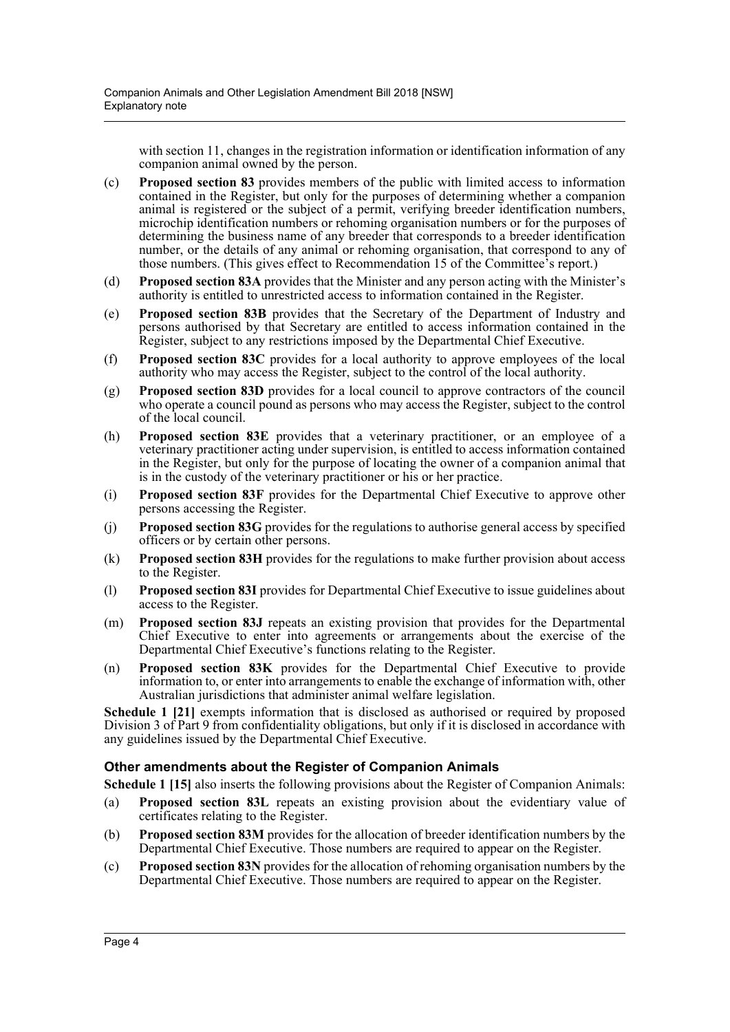with section 11, changes in the registration information or identification information of any companion animal owned by the person.

- (c) **Proposed section 83** provides members of the public with limited access to information contained in the Register, but only for the purposes of determining whether a companion animal is registered or the subject of a permit, verifying breeder identification numbers, microchip identification numbers or rehoming organisation numbers or for the purposes of determining the business name of any breeder that corresponds to a breeder identification number, or the details of any animal or rehoming organisation, that correspond to any of those numbers. (This gives effect to Recommendation 15 of the Committee's report.)
- (d) **Proposed section 83A** provides that the Minister and any person acting with the Minister's authority is entitled to unrestricted access to information contained in the Register.
- (e) **Proposed section 83B** provides that the Secretary of the Department of Industry and persons authorised by that Secretary are entitled to access information contained in the Register, subject to any restrictions imposed by the Departmental Chief Executive.
- (f) **Proposed section 83C** provides for a local authority to approve employees of the local authority who may access the Register, subject to the control of the local authority.
- (g) **Proposed section 83D** provides for a local council to approve contractors of the council who operate a council pound as persons who may access the Register, subject to the control of the local council.
- (h) **Proposed section 83E** provides that a veterinary practitioner, or an employee of a veterinary practitioner acting under supervision, is entitled to access information contained in the Register, but only for the purpose of locating the owner of a companion animal that is in the custody of the veterinary practitioner or his or her practice.
- (i) **Proposed section 83F** provides for the Departmental Chief Executive to approve other persons accessing the Register.
- (j) **Proposed section 83G** provides for the regulations to authorise general access by specified officers or by certain other persons.
- (k) **Proposed section 83H** provides for the regulations to make further provision about access to the Register.
- (l) **Proposed section 83I** provides for Departmental Chief Executive to issue guidelines about access to the Register.
- (m) **Proposed section 83J** repeats an existing provision that provides for the Departmental Chief Executive to enter into agreements or arrangements about the exercise of the Departmental Chief Executive's functions relating to the Register.
- (n) **Proposed section 83K** provides for the Departmental Chief Executive to provide information to, or enter into arrangements to enable the exchange of information with, other Australian jurisdictions that administer animal welfare legislation.

**Schedule 1 [21]** exempts information that is disclosed as authorised or required by proposed Division 3 of Part 9 from confidentiality obligations, but only if it is disclosed in accordance with any guidelines issued by the Departmental Chief Executive.

### **Other amendments about the Register of Companion Animals**

**Schedule 1 [15]** also inserts the following provisions about the Register of Companion Animals:

- (a) **Proposed section 83L** repeats an existing provision about the evidentiary value of certificates relating to the Register.
- (b) **Proposed section 83M** provides for the allocation of breeder identification numbers by the Departmental Chief Executive. Those numbers are required to appear on the Register.
- (c) **Proposed section 83N** provides for the allocation of rehoming organisation numbers by the Departmental Chief Executive. Those numbers are required to appear on the Register.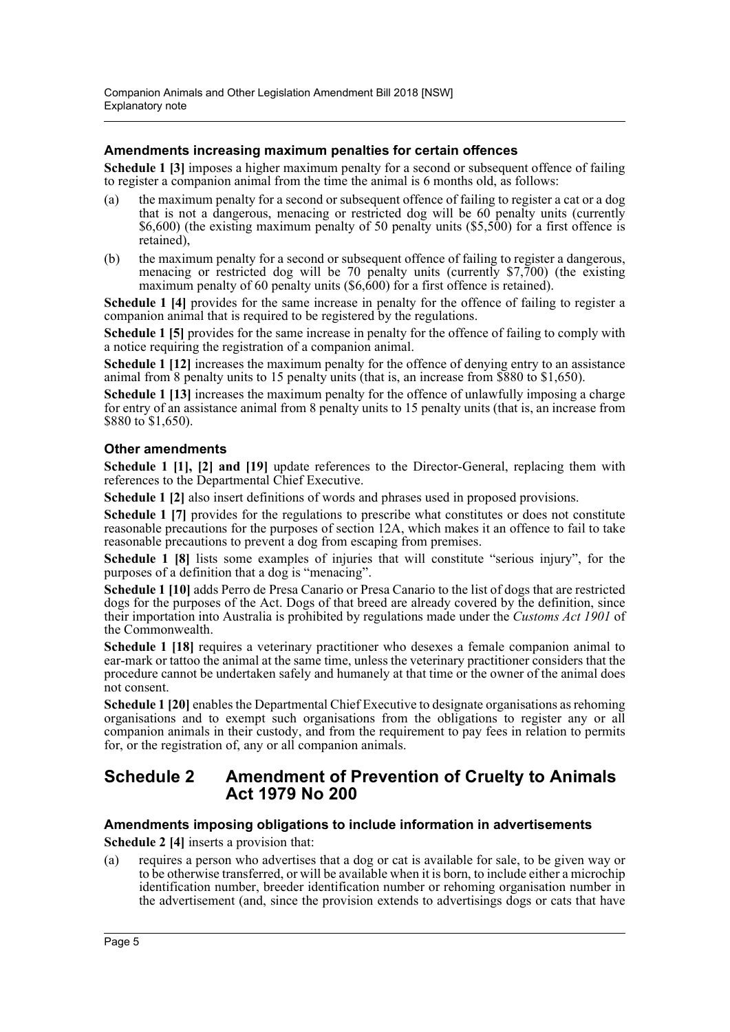### **Amendments increasing maximum penalties for certain offences**

**Schedule 1 [3]** imposes a higher maximum penalty for a second or subsequent offence of failing to register a companion animal from the time the animal is 6 months old, as follows:

- (a) the maximum penalty for a second or subsequent offence of failing to register a cat or a dog that is not a dangerous, menacing or restricted dog will be 60 penalty units (currently \$6,600) (the existing maximum penalty of 50 penalty units (\$5,500) for a first offence is retained),
- (b) the maximum penalty for a second or subsequent offence of failing to register a dangerous, menacing or restricted dog will be 70 penalty units (currently \$7,700) (the existing maximum penalty of 60 penalty units (\$6,600) for a first offence is retained).

Schedule 1 [4] provides for the same increase in penalty for the offence of failing to register a companion animal that is required to be registered by the regulations.

**Schedule 1 [5]** provides for the same increase in penalty for the offence of failing to comply with a notice requiring the registration of a companion animal.

**Schedule 1 [12]** increases the maximum penalty for the offence of denying entry to an assistance animal from 8 penalty units to 15 penalty units (that is, an increase from \$880 to \$1,650).

**Schedule 1 [13]** increases the maximum penalty for the offence of unlawfully imposing a charge for entry of an assistance animal from 8 penalty units to 15 penalty units (that is, an increase from \$880 to \$1,650).

### **Other amendments**

**Schedule 1 [1], [2] and [19]** update references to the Director-General, replacing them with references to the Departmental Chief Executive.

**Schedule 1 [2]** also insert definitions of words and phrases used in proposed provisions.

**Schedule 1 [7]** provides for the regulations to prescribe what constitutes or does not constitute reasonable precautions for the purposes of section 12A, which makes it an offence to fail to take reasonable precautions to prevent a dog from escaping from premises.

**Schedule 1 [8]** lists some examples of injuries that will constitute "serious injury", for the purposes of a definition that a dog is "menacing".

**Schedule 1 [10]** adds Perro de Presa Canario or Presa Canario to the list of dogs that are restricted dogs for the purposes of the Act. Dogs of that breed are already covered by the definition, since their importation into Australia is prohibited by regulations made under the *Customs Act 1901* of the Commonwealth.

**Schedule 1 [18]** requires a veterinary practitioner who desexes a female companion animal to ear-mark or tattoo the animal at the same time, unless the veterinary practitioner considers that the procedure cannot be undertaken safely and humanely at that time or the owner of the animal does not consent.

**Schedule 1 [20]** enables the Departmental Chief Executive to designate organisations as rehoming organisations and to exempt such organisations from the obligations to register any or all companion animals in their custody, and from the requirement to pay fees in relation to permits for, or the registration of, any or all companion animals.

### **Schedule 2 Amendment of Prevention of Cruelty to Animals Act 1979 No 200**

### **Amendments imposing obligations to include information in advertisements**

**Schedule 2 [4]** inserts a provision that:

(a) requires a person who advertises that a dog or cat is available for sale, to be given way or to be otherwise transferred, or will be available when it is born, to include either a microchip identification number, breeder identification number or rehoming organisation number in the advertisement (and, since the provision extends to advertisings dogs or cats that have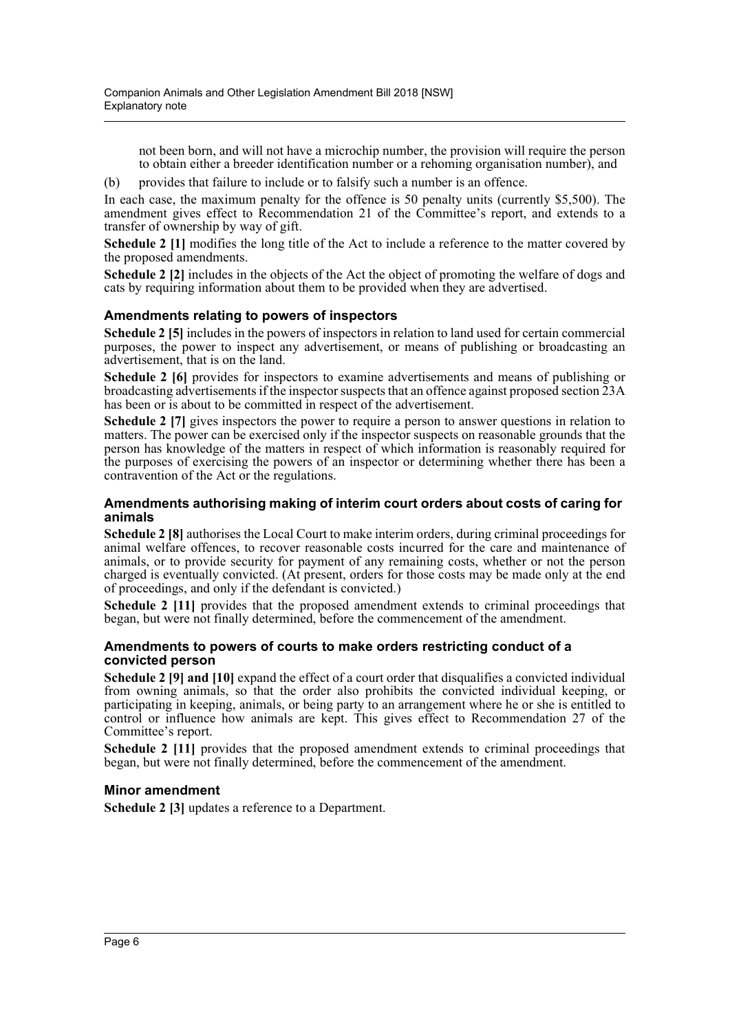not been born, and will not have a microchip number, the provision will require the person to obtain either a breeder identification number or a rehoming organisation number), and

(b) provides that failure to include or to falsify such a number is an offence.

In each case, the maximum penalty for the offence is 50 penalty units (currently \$5,500). The amendment gives effect to Recommendation 21 of the Committee's report, and extends to a transfer of ownership by way of gift.

**Schedule 2 [1]** modifies the long title of the Act to include a reference to the matter covered by the proposed amendments.

**Schedule 2 [2]** includes in the objects of the Act the object of promoting the welfare of dogs and cats by requiring information about them to be provided when they are advertised.

### **Amendments relating to powers of inspectors**

**Schedule 2 [5]** includes in the powers of inspectors in relation to land used for certain commercial purposes, the power to inspect any advertisement, or means of publishing or broadcasting an advertisement, that is on the land.

**Schedule 2 [6]** provides for inspectors to examine advertisements and means of publishing or broadcasting advertisements if the inspector suspects that an offence against proposed section 23A has been or is about to be committed in respect of the advertisement.

**Schedule 2 [7]** gives inspectors the power to require a person to answer questions in relation to matters. The power can be exercised only if the inspector suspects on reasonable grounds that the person has knowledge of the matters in respect of which information is reasonably required for the purposes of exercising the powers of an inspector or determining whether there has been a contravention of the Act or the regulations.

### **Amendments authorising making of interim court orders about costs of caring for animals**

**Schedule 2 [8]** authorises the Local Court to make interim orders, during criminal proceedings for animal welfare offences, to recover reasonable costs incurred for the care and maintenance of animals, or to provide security for payment of any remaining costs, whether or not the person charged is eventually convicted. (At present, orders for those costs may be made only at the end of proceedings, and only if the defendant is convicted.)

**Schedule 2 [11]** provides that the proposed amendment extends to criminal proceedings that began, but were not finally determined, before the commencement of the amendment.

### **Amendments to powers of courts to make orders restricting conduct of a convicted person**

**Schedule 2 [9] and [10]** expand the effect of a court order that disqualifies a convicted individual from owning animals, so that the order also prohibits the convicted individual keeping, or participating in keeping, animals, or being party to an arrangement where he or she is entitled to control or influence how animals are kept. This gives effect to Recommendation 27 of the Committee's report.

**Schedule 2 [11]** provides that the proposed amendment extends to criminal proceedings that began, but were not finally determined, before the commencement of the amendment.

### **Minor amendment**

**Schedule 2 [3]** updates a reference to a Department.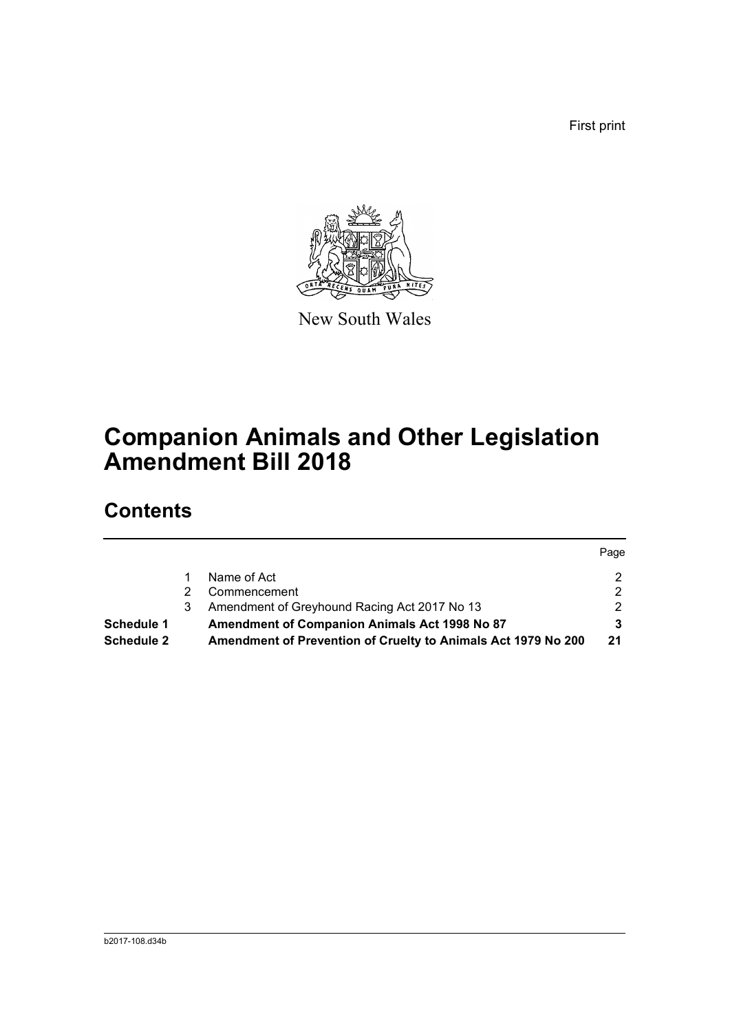First print



New South Wales

# **Companion Animals and Other Legislation Amendment Bill 2018**

### **Contents**

|                   |   |                                                               | Page |
|-------------------|---|---------------------------------------------------------------|------|
|                   |   | Name of Act                                                   |      |
|                   |   | Commencement                                                  |      |
|                   | 3 | Amendment of Greyhound Racing Act 2017 No 13                  | ົ    |
| Schedule 1        |   | Amendment of Companion Animals Act 1998 No 87                 |      |
| <b>Schedule 2</b> |   | Amendment of Prevention of Cruelty to Animals Act 1979 No 200 | 21   |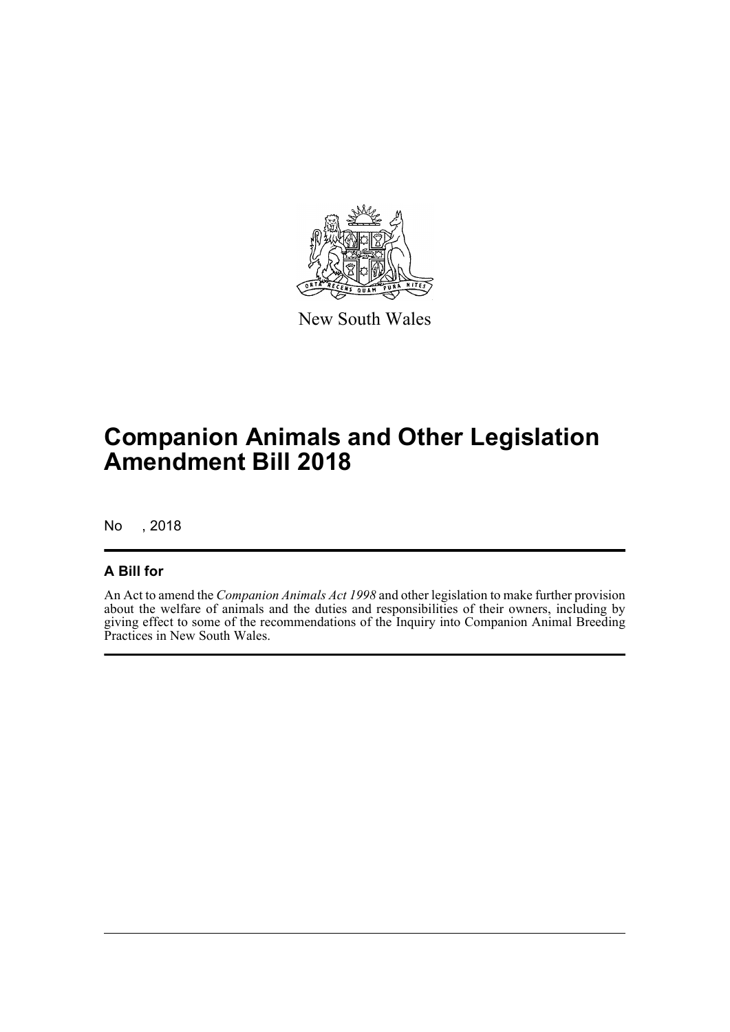

New South Wales

# **Companion Animals and Other Legislation Amendment Bill 2018**

No , 2018

### **A Bill for**

An Act to amend the *Companion Animals Act 1998* and other legislation to make further provision about the welfare of animals and the duties and responsibilities of their owners, including by giving effect to some of the recommendations of the Inquiry into Companion Animal Breeding Practices in New South Wales.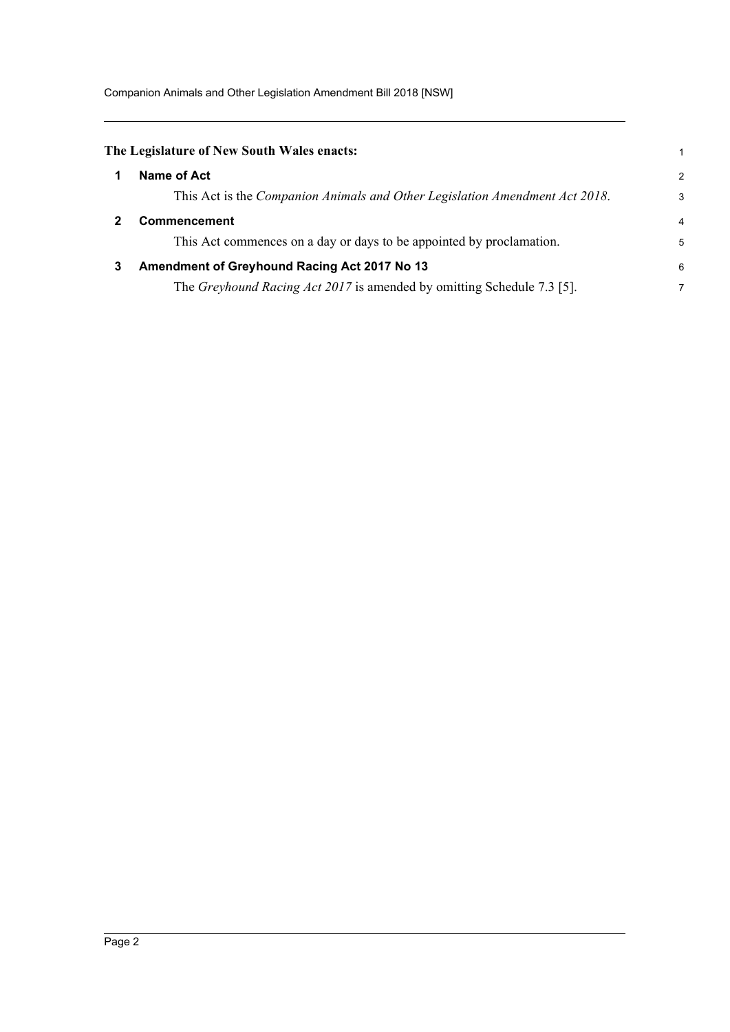Companion Animals and Other Legislation Amendment Bill 2018 [NSW]

<span id="page-8-2"></span><span id="page-8-1"></span><span id="page-8-0"></span>

|   | The Legislature of New South Wales enacts:                                  |                |
|---|-----------------------------------------------------------------------------|----------------|
|   | Name of Act                                                                 | $\overline{2}$ |
|   | This Act is the Companion Animals and Other Legislation Amendment Act 2018. | 3              |
|   | Commencement                                                                | 4              |
|   | This Act commences on a day or days to be appointed by proclamation.        | 5              |
| 3 | Amendment of Greyhound Racing Act 2017 No 13                                | 6              |
|   | The Greyhound Racing Act 2017 is amended by omitting Schedule 7.3 [5].      | 7              |
|   |                                                                             |                |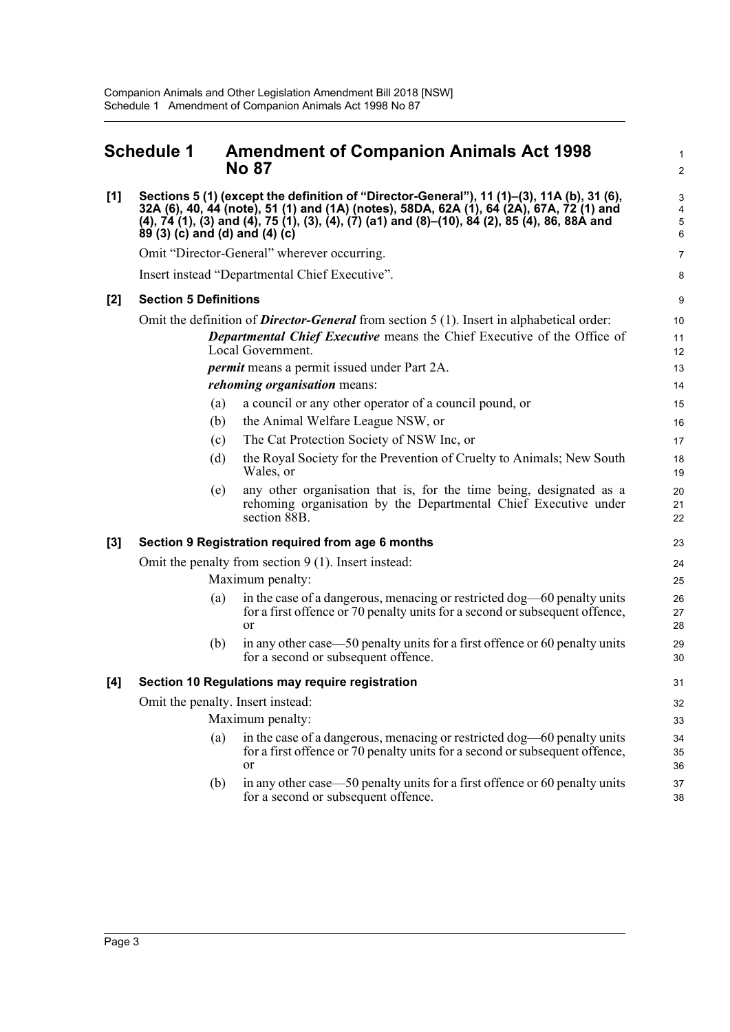#### <span id="page-9-0"></span>**Schedule 1 Amendment of Companion Animals Act 1998 No 87 [1] Sections 5 (1) (except the definition of "Director-General"), 11 (1)–(3), 11A (b), 31 (6), 32A (6), 40, 44 (note), 51 (1) and (1A) (notes), 58DA, 62A (1), 64 (2A), 67A, 72 (1) and (4), 74 (1), (3) and (4), 75 (1), (3), (4), (7) (a1) and (8)–(10), 84 (2), 85 (4), 86, 88A and 89 (3) (c) and (d) and (4) (c)** Omit "Director-General" wherever occurring. Insert instead "Departmental Chief Executive". **[2] Section 5 Definitions** Omit the definition of *Director-General* from section 5 (1). Insert in alphabetical order: *Departmental Chief Executive* means the Chief Executive of the Office of Local Government. *permit* means a permit issued under Part 2A. *rehoming organisation* means: (a) a council or any other operator of a council pound, or (b) the Animal Welfare League NSW, or (c) The Cat Protection Society of NSW Inc, or (d) the Royal Society for the Prevention of Cruelty to Animals; New South Wales, or (e) any other organisation that is, for the time being, designated as a rehoming organisation by the Departmental Chief Executive under section 88B. **[3] Section 9 Registration required from age 6 months** Omit the penalty from section 9 (1). Insert instead: Maximum penalty: (a) in the case of a dangerous, menacing or restricted dog—60 penalty units for a first offence or 70 penalty units for a second or subsequent offence, or (b) in any other case—50 penalty units for a first offence or 60 penalty units for a second or subsequent offence. **[4] Section 10 Regulations may require registration** Omit the penalty. Insert instead: Maximum penalty: (a) in the case of a dangerous, menacing or restricted dog—60 penalty units for a first offence or 70 penalty units for a second or subsequent offence, or (b) in any other case—50 penalty units for a first offence or 60 penalty units for a second or subsequent offence. 1  $\overline{2}$ 3 4 5 6 7 8 9 10 11 12 13 14 15 16 17 18 19  $20$ 21 22 23 24 25 26 27 28 29 30 31 32 33 34 35 36 37 38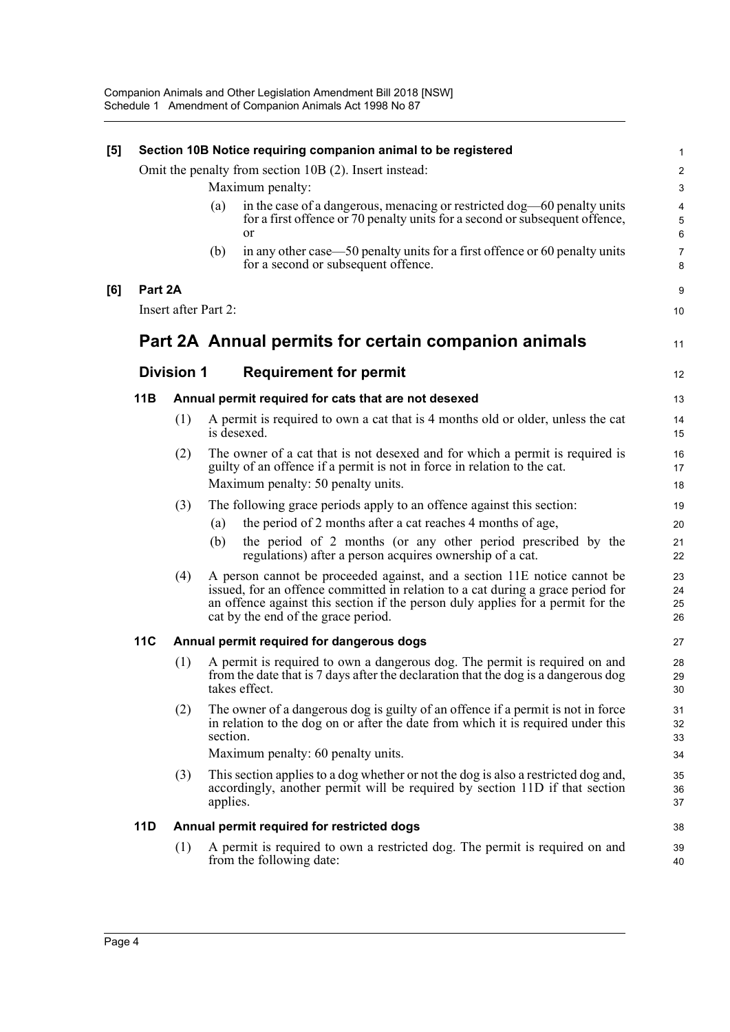| [5] |            |                      | Section 10B Notice requiring companion animal to be registered                                                                                                                                                                                                                        | $\mathbf{1}$                      |
|-----|------------|----------------------|---------------------------------------------------------------------------------------------------------------------------------------------------------------------------------------------------------------------------------------------------------------------------------------|-----------------------------------|
|     |            |                      | Omit the penalty from section 10B (2). Insert instead:                                                                                                                                                                                                                                | $\boldsymbol{2}$                  |
|     |            |                      | Maximum penalty:                                                                                                                                                                                                                                                                      | $\ensuremath{\mathsf{3}}$         |
|     |            |                      | in the case of a dangerous, menacing or restricted dog—60 penalty units<br>(a)<br>for a first offence or 70 penalty units for a second or subsequent offence,<br>or                                                                                                                   | $\overline{\mathbf{4}}$<br>5<br>6 |
|     |            |                      | in any other case—50 penalty units for a first offence or 60 penalty units<br>(b)<br>for a second or subsequent offence.                                                                                                                                                              | $\overline{7}$<br>8               |
| [6] | Part 2A    |                      |                                                                                                                                                                                                                                                                                       | $\boldsymbol{9}$                  |
|     |            | Insert after Part 2: |                                                                                                                                                                                                                                                                                       | $10$                              |
|     |            |                      | Part 2A Annual permits for certain companion animals                                                                                                                                                                                                                                  | 11                                |
|     |            | <b>Division 1</b>    | <b>Requirement for permit</b>                                                                                                                                                                                                                                                         | 12                                |
|     | 11B        |                      | Annual permit required for cats that are not desexed                                                                                                                                                                                                                                  | 13                                |
|     |            | (1)                  | A permit is required to own a cat that is 4 months old or older, unless the cat<br>is desexed.                                                                                                                                                                                        | 14<br>15                          |
|     |            | (2)                  | The owner of a cat that is not desexed and for which a permit is required is<br>guilty of an offence if a permit is not in force in relation to the cat.<br>Maximum penalty: 50 penalty units.                                                                                        | 16<br>17<br>18                    |
|     |            | (3)                  | The following grace periods apply to an offence against this section:                                                                                                                                                                                                                 | 19                                |
|     |            |                      | the period of 2 months after a cat reaches 4 months of age,<br>(a)                                                                                                                                                                                                                    | 20                                |
|     |            |                      | the period of 2 months (or any other period prescribed by the<br>(b)<br>regulations) after a person acquires ownership of a cat.                                                                                                                                                      | 21<br>22                          |
|     |            | (4)                  | A person cannot be proceeded against, and a section 11E notice cannot be<br>issued, for an offence committed in relation to a cat during a grace period for<br>an offence against this section if the person duly applies for a permit for the<br>cat by the end of the grace period. | 23<br>24<br>25<br>26              |
|     | <b>11C</b> |                      | Annual permit required for dangerous dogs                                                                                                                                                                                                                                             | 27                                |
|     |            | (1)                  | A permit is required to own a dangerous dog. The permit is required on and<br>from the date that is 7 days after the declaration that the dog is a dangerous dog<br>takes effect.                                                                                                     | 28<br>29<br>$30\,$                |
|     |            | (2)                  | The owner of a dangerous dog is guilty of an offence if a permit is not in force<br>in relation to the dog on or after the date from which it is required under this<br>section.                                                                                                      | 31<br>32<br>33                    |
|     |            |                      | Maximum penalty: 60 penalty units.                                                                                                                                                                                                                                                    | 34                                |
|     |            | (3)                  | This section applies to a dog whether or not the dog is also a restricted dog and,<br>accordingly, another permit will be required by section 11D if that section<br>applies.                                                                                                         | 35<br>36<br>37                    |
|     | <b>11D</b> |                      | Annual permit required for restricted dogs                                                                                                                                                                                                                                            | 38                                |
|     |            | (1)                  | A permit is required to own a restricted dog. The permit is required on and<br>from the following date:                                                                                                                                                                               | 39<br>40                          |
|     |            |                      |                                                                                                                                                                                                                                                                                       |                                   |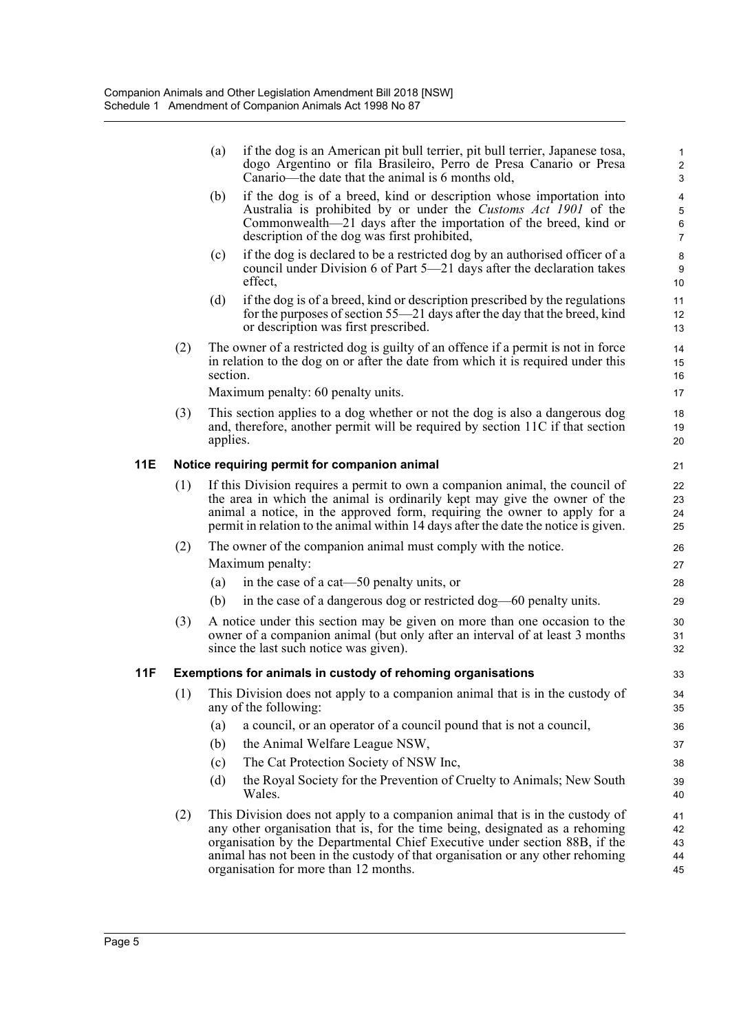|            |     | (a)      | if the dog is an American pit bull terrier, pit bull terrier, Japanese tosa,<br>dogo Argentino or fila Brasileiro, Perro de Presa Canario or Presa<br>Canario—the date that the animal is 6 months old,                                                                                                                                                              | 1<br>$\overline{\mathbf{c}}$<br>3 |
|------------|-----|----------|----------------------------------------------------------------------------------------------------------------------------------------------------------------------------------------------------------------------------------------------------------------------------------------------------------------------------------------------------------------------|-----------------------------------|
|            |     | (b)      | if the dog is of a breed, kind or description whose importation into<br>Australia is prohibited by or under the Customs Act 1901 of the<br>Commonwealth—21 days after the importation of the breed, kind or<br>description of the dog was first prohibited,                                                                                                          | 4<br>5<br>6<br>7                  |
|            |     | (c)      | if the dog is declared to be a restricted dog by an authorised officer of a<br>council under Division 6 of Part 5-21 days after the declaration takes<br>effect,                                                                                                                                                                                                     | 8<br>9<br>10                      |
|            |     | (d)      | if the dog is of a breed, kind or description prescribed by the regulations<br>for the purposes of section 55-21 days after the day that the breed, kind<br>or description was first prescribed.                                                                                                                                                                     | 11<br>12<br>13                    |
|            | (2) | section. | The owner of a restricted dog is guilty of an offence if a permit is not in force<br>in relation to the dog on or after the date from which it is required under this<br>Maximum penalty: 60 penalty units.                                                                                                                                                          | 14<br>15<br>16<br>17              |
|            | (3) | applies. | This section applies to a dog whether or not the dog is also a dangerous dog<br>and, therefore, another permit will be required by section 11C if that section                                                                                                                                                                                                       | 18<br>19<br>20                    |
| 11E        |     |          | Notice requiring permit for companion animal                                                                                                                                                                                                                                                                                                                         | 21                                |
|            | (1) |          | If this Division requires a permit to own a companion animal, the council of<br>the area in which the animal is ordinarily kept may give the owner of the<br>animal a notice, in the approved form, requiring the owner to apply for a<br>permit in relation to the animal within 14 days after the date the notice is given.                                        | 22<br>23<br>24<br>25              |
|            | (2) |          | The owner of the companion animal must comply with the notice.<br>Maximum penalty:                                                                                                                                                                                                                                                                                   | 26<br>27                          |
|            |     | (a)      | in the case of a cat—50 penalty units, or                                                                                                                                                                                                                                                                                                                            | 28                                |
|            |     | (b)      | in the case of a dangerous dog or restricted dog—60 penalty units.                                                                                                                                                                                                                                                                                                   | 29                                |
|            | (3) |          | A notice under this section may be given on more than one occasion to the<br>owner of a companion animal (but only after an interval of at least 3 months<br>since the last such notice was given).                                                                                                                                                                  | 30<br>31<br>32                    |
| <b>11F</b> |     |          | Exemptions for animals in custody of rehoming organisations                                                                                                                                                                                                                                                                                                          | 33                                |
|            |     |          | (1) This Division does not apply to a companion animal that is in the custody of<br>any of the following:                                                                                                                                                                                                                                                            | 34<br>35                          |
|            |     | (a)      | a council, or an operator of a council pound that is not a council,                                                                                                                                                                                                                                                                                                  | 36                                |
|            |     | (b)      | the Animal Welfare League NSW,                                                                                                                                                                                                                                                                                                                                       | 37                                |
|            |     | (c)      | The Cat Protection Society of NSW Inc,                                                                                                                                                                                                                                                                                                                               | 38                                |
|            |     | (d)      | the Royal Society for the Prevention of Cruelty to Animals; New South<br>Wales.                                                                                                                                                                                                                                                                                      | 39<br>40                          |
|            | (2) |          | This Division does not apply to a companion animal that is in the custody of<br>any other organisation that is, for the time being, designated as a rehoming<br>organisation by the Departmental Chief Executive under section 88B, if the<br>animal has not been in the custody of that organisation or any other rehoming<br>organisation for more than 12 months. | 41<br>42<br>43<br>44<br>45        |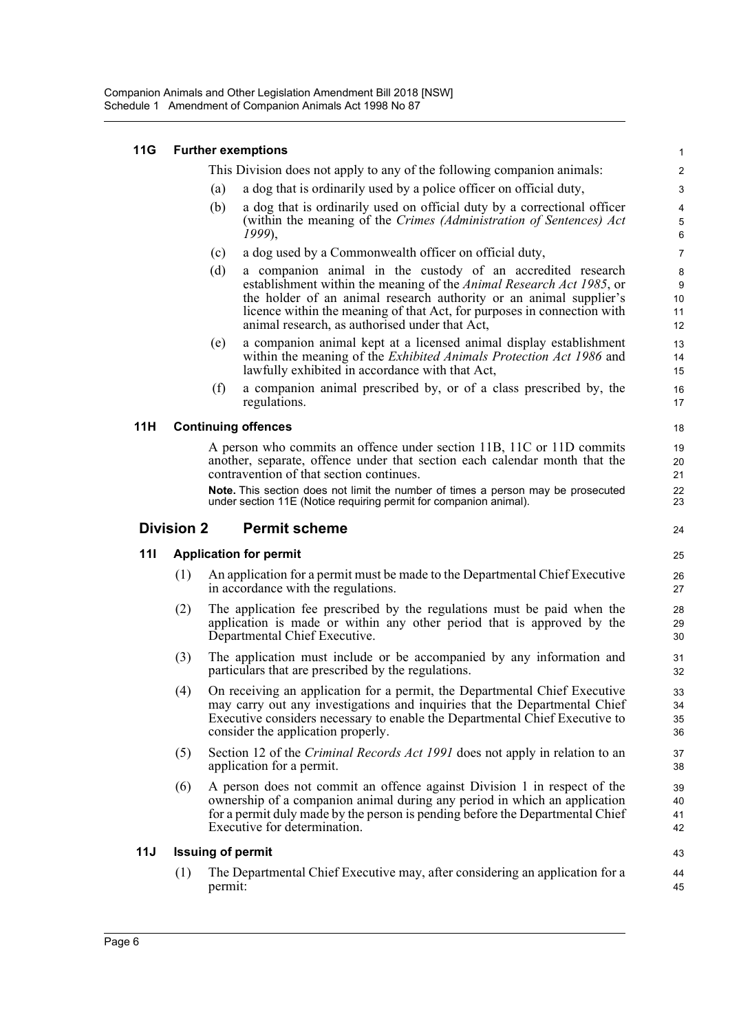| <b>11G</b> |                   |                          | <b>Further exemptions</b>                                                                                                                                                                                                                                                                                                                                | 1                          |
|------------|-------------------|--------------------------|----------------------------------------------------------------------------------------------------------------------------------------------------------------------------------------------------------------------------------------------------------------------------------------------------------------------------------------------------------|----------------------------|
|            |                   |                          | This Division does not apply to any of the following companion animals:                                                                                                                                                                                                                                                                                  | $\overline{\mathbf{c}}$    |
|            |                   | (a)                      | a dog that is ordinarily used by a police officer on official duty,                                                                                                                                                                                                                                                                                      | 3                          |
|            |                   | (b)                      | a dog that is ordinarily used on official duty by a correctional officer<br>(within the meaning of the Crimes (Administration of Sentences) Act<br>1999),                                                                                                                                                                                                | 4<br>5<br>6                |
|            |                   | (c)                      | a dog used by a Commonwealth officer on official duty,                                                                                                                                                                                                                                                                                                   | $\overline{7}$             |
|            |                   | (d)                      | a companion animal in the custody of an accredited research<br>establishment within the meaning of the Animal Research Act 1985, or<br>the holder of an animal research authority or an animal supplier's<br>licence within the meaning of that Act, for purposes in connection with<br>animal research, as authorised under that Act,                   | 8<br>9<br>10<br>11<br>12   |
|            |                   | (e)                      | a companion animal kept at a licensed animal display establishment<br>within the meaning of the <i>Exhibited Animals Protection Act 1986</i> and<br>lawfully exhibited in accordance with that Act,                                                                                                                                                      | 13<br>14<br>15             |
|            |                   | (f)                      | a companion animal prescribed by, or of a class prescribed by, the<br>regulations.                                                                                                                                                                                                                                                                       | 16<br>17                   |
| 11H        |                   |                          | <b>Continuing offences</b>                                                                                                                                                                                                                                                                                                                               | 18                         |
|            |                   |                          | A person who commits an offence under section 11B, 11C or 11D commits<br>another, separate, offence under that section each calendar month that the<br>contravention of that section continues.<br>Note. This section does not limit the number of times a person may be prosecuted<br>under section 11E (Notice requiring permit for companion animal). | 19<br>20<br>21<br>22<br>23 |
|            | <b>Division 2</b> |                          | <b>Permit scheme</b>                                                                                                                                                                                                                                                                                                                                     | 24                         |
| 111        |                   |                          | <b>Application for permit</b>                                                                                                                                                                                                                                                                                                                            | 25                         |
|            | (1)               |                          | An application for a permit must be made to the Departmental Chief Executive<br>in accordance with the regulations.                                                                                                                                                                                                                                      | 26<br>27                   |
|            | (2)               |                          | The application fee prescribed by the regulations must be paid when the<br>application is made or within any other period that is approved by the<br>Departmental Chief Executive.                                                                                                                                                                       | 28<br>29<br>30             |
|            | (3)               |                          | The application must include or be accompanied by any information and<br>particulars that are prescribed by the regulations.                                                                                                                                                                                                                             | 31<br>32                   |
|            |                   |                          | (4) On receiving an application for a permit, the Departmental Chief Executive<br>may carry out any investigations and inquiries that the Departmental Chief<br>Executive considers necessary to enable the Departmental Chief Executive to<br>consider the application properly.                                                                        | 33<br>34<br>35<br>36       |
|            | (5)               |                          | Section 12 of the <i>Criminal Records Act 1991</i> does not apply in relation to an<br>application for a permit.                                                                                                                                                                                                                                         | 37<br>38                   |
|            | (6)               |                          | A person does not commit an offence against Division 1 in respect of the<br>ownership of a companion animal during any period in which an application<br>for a permit duly made by the person is pending before the Departmental Chief<br>Executive for determination.                                                                                   | 39<br>40<br>41<br>42       |
| 11J        |                   | <b>Issuing of permit</b> |                                                                                                                                                                                                                                                                                                                                                          | 43                         |
|            |                   |                          |                                                                                                                                                                                                                                                                                                                                                          |                            |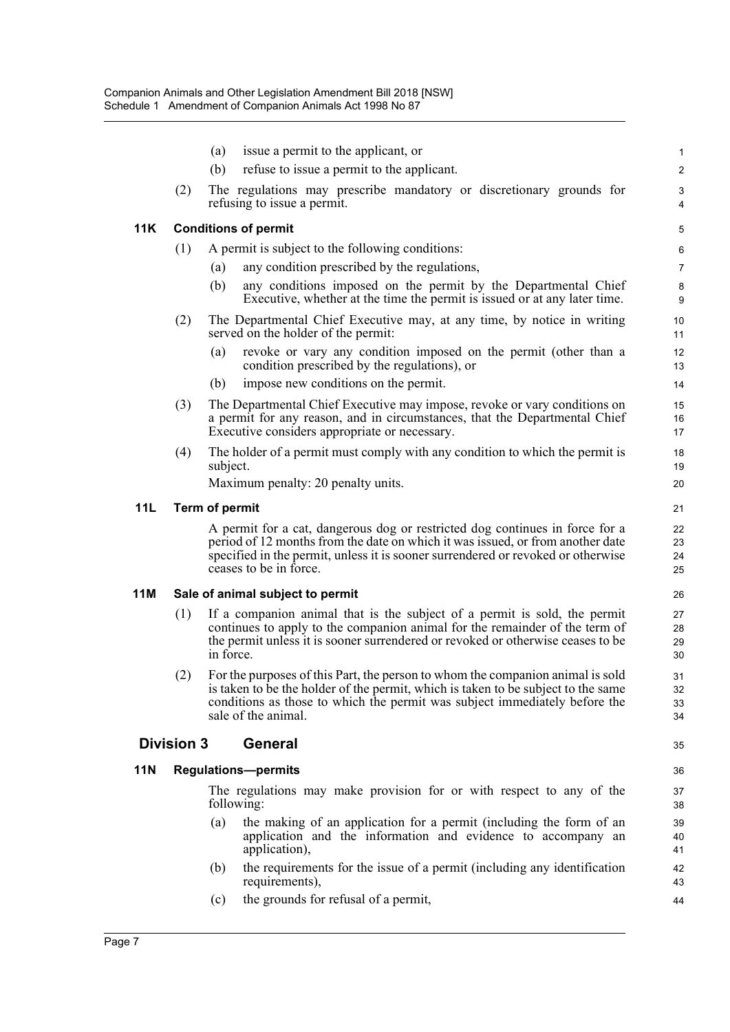|            |                   | (a)            | issue a permit to the applicant, or                                                                                                                                                                                                                                          | $\mathbf{1}$         |  |  |  |
|------------|-------------------|----------------|------------------------------------------------------------------------------------------------------------------------------------------------------------------------------------------------------------------------------------------------------------------------------|----------------------|--|--|--|
|            |                   | (b)            | refuse to issue a permit to the applicant.                                                                                                                                                                                                                                   | $\overline{2}$       |  |  |  |
|            | (2)               |                | The regulations may prescribe mandatory or discretionary grounds for<br>refusing to issue a permit.                                                                                                                                                                          | 3<br>4               |  |  |  |
| <b>11K</b> |                   |                | <b>Conditions of permit</b>                                                                                                                                                                                                                                                  | $\,$ 5 $\,$          |  |  |  |
|            | (1)               |                | A permit is subject to the following conditions:                                                                                                                                                                                                                             | 6                    |  |  |  |
|            |                   | (a)            | any condition prescribed by the regulations,                                                                                                                                                                                                                                 | 7                    |  |  |  |
|            |                   | (b)            | any conditions imposed on the permit by the Departmental Chief<br>Executive, whether at the time the permit is issued or at any later time.                                                                                                                                  | 8<br>9               |  |  |  |
|            | (2)               |                | The Departmental Chief Executive may, at any time, by notice in writing<br>served on the holder of the permit:                                                                                                                                                               | 10<br>11             |  |  |  |
|            |                   | (a)            | revoke or vary any condition imposed on the permit (other than a<br>condition prescribed by the regulations), or                                                                                                                                                             | 12<br>13             |  |  |  |
|            |                   | (b)            | impose new conditions on the permit.                                                                                                                                                                                                                                         | 14                   |  |  |  |
|            | (3)               |                | The Departmental Chief Executive may impose, revoke or vary conditions on<br>a permit for any reason, and in circumstances, that the Departmental Chief<br>Executive considers appropriate or necessary.                                                                     | 15<br>16<br>17       |  |  |  |
|            | (4)               | subject.       | The holder of a permit must comply with any condition to which the permit is                                                                                                                                                                                                 | 18<br>19             |  |  |  |
|            |                   |                | Maximum penalty: 20 penalty units.                                                                                                                                                                                                                                           | 20                   |  |  |  |
| 11L        |                   | Term of permit |                                                                                                                                                                                                                                                                              |                      |  |  |  |
|            |                   |                | A permit for a cat, dangerous dog or restricted dog continues in force for a<br>period of 12 months from the date on which it was issued, or from another date<br>specified in the permit, unless it is sooner surrendered or revoked or otherwise<br>ceases to be in force. | 22<br>23<br>24<br>25 |  |  |  |
| 11M        |                   |                | Sale of animal subject to permit                                                                                                                                                                                                                                             | 26                   |  |  |  |
|            | (1)               | in force.      | If a companion animal that is the subject of a permit is sold, the permit<br>continues to apply to the companion animal for the remainder of the term of<br>the permit unless it is sooner surrendered or revoked or otherwise ceases to be                                  | 27<br>28<br>29<br>30 |  |  |  |
|            | (2)               |                | For the purposes of this Part, the person to whom the companion animal is sold<br>is taken to be the holder of the permit, which is taken to be subject to the same<br>conditions as those to which the permit was subject immediately before the<br>sale of the animal.     | 31<br>32<br>33<br>34 |  |  |  |
|            | <b>Division 3</b> |                | General                                                                                                                                                                                                                                                                      | 35                   |  |  |  |
| <b>11N</b> |                   |                | <b>Regulations-permits</b>                                                                                                                                                                                                                                                   | 36                   |  |  |  |
|            |                   |                | The regulations may make provision for or with respect to any of the<br>following:                                                                                                                                                                                           | 37<br>38             |  |  |  |
|            |                   | (a)            | the making of an application for a permit (including the form of an<br>application and the information and evidence to accompany an<br>application),                                                                                                                         | 39<br>40<br>41       |  |  |  |
|            |                   | (b)            | the requirements for the issue of a permit (including any identification<br>requirements),                                                                                                                                                                                   | 42<br>43             |  |  |  |
|            |                   | (c)            | the grounds for refusal of a permit,                                                                                                                                                                                                                                         | 44                   |  |  |  |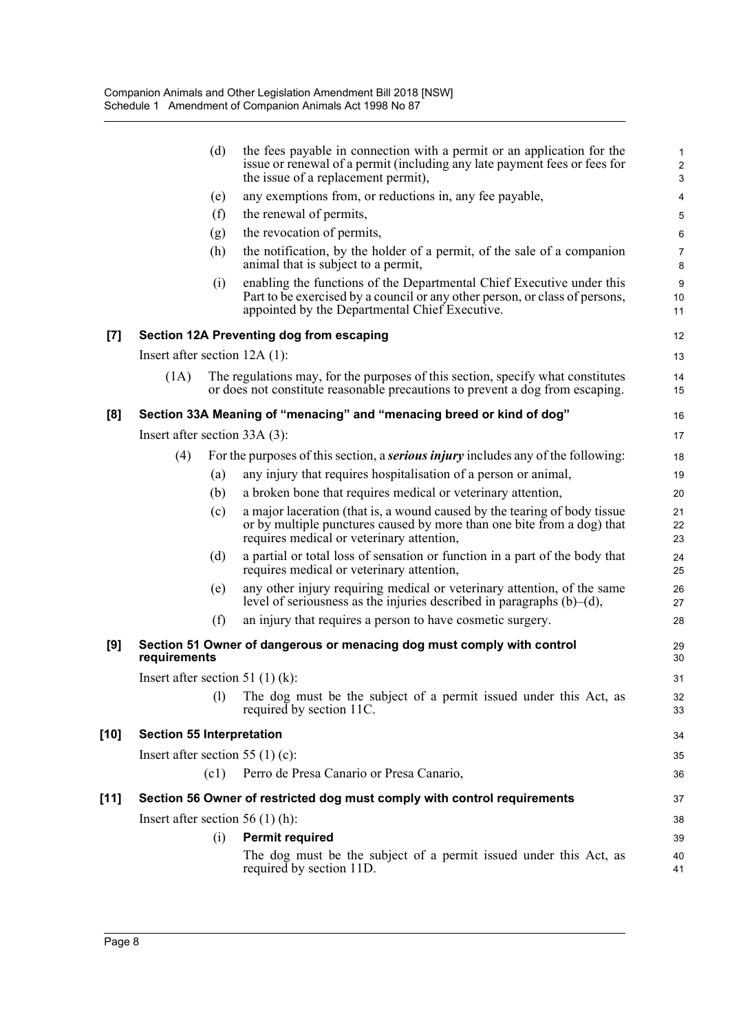|        |                                  | (d)  | the fees payable in connection with a permit or an application for the<br>issue or renewal of a permit (including any late payment fees or fees for<br>the issue of a replacement permit),             | 1<br>$\overline{2}$<br>$\ensuremath{\mathsf{3}}$ |
|--------|----------------------------------|------|--------------------------------------------------------------------------------------------------------------------------------------------------------------------------------------------------------|--------------------------------------------------|
|        |                                  | (e)  | any exemptions from, or reductions in, any fee payable,                                                                                                                                                | 4                                                |
|        |                                  | (f)  | the renewal of permits,                                                                                                                                                                                | 5                                                |
|        |                                  | (g)  | the revocation of permits,                                                                                                                                                                             | 6                                                |
|        |                                  | (h)  | the notification, by the holder of a permit, of the sale of a companion<br>animal that is subject to a permit,                                                                                         | $\overline{7}$<br>8                              |
|        |                                  | (i)  | enabling the functions of the Departmental Chief Executive under this<br>Part to be exercised by a council or any other person, or class of persons,<br>appointed by the Departmental Chief Executive. | $\boldsymbol{9}$<br>10<br>11                     |
| $[7]$  |                                  |      | Section 12A Preventing dog from escaping                                                                                                                                                               | 12                                               |
|        | Insert after section $12A(1)$ :  |      |                                                                                                                                                                                                        | 13                                               |
|        | (1A)                             |      | The regulations may, for the purposes of this section, specify what constitutes<br>or does not constitute reasonable precautions to prevent a dog from escaping.                                       | 14<br>15                                         |
| [8]    |                                  |      | Section 33A Meaning of "menacing" and "menacing breed or kind of dog"                                                                                                                                  | 16                                               |
|        | Insert after section $33A(3)$ :  |      |                                                                                                                                                                                                        | 17                                               |
|        | (4)                              |      | For the purposes of this section, a <b><i>serious injury</i></b> includes any of the following:                                                                                                        | 18                                               |
|        |                                  | (a)  | any injury that requires hospitalisation of a person or animal,                                                                                                                                        | 19                                               |
|        |                                  | (b)  | a broken bone that requires medical or veterinary attention,                                                                                                                                           | 20                                               |
|        |                                  | (c)  | a major laceration (that is, a wound caused by the tearing of body tissue<br>or by multiple punctures caused by more than one bite from a dog) that<br>requires medical or veterinary attention,       | 21<br>22<br>23                                   |
|        |                                  | (d)  | a partial or total loss of sensation or function in a part of the body that<br>requires medical or veterinary attention,                                                                               | 24<br>25                                         |
|        |                                  | (e)  | any other injury requiring medical or veterinary attention, of the same<br>level of seriousness as the injuries described in paragraphs $(b)$ – $(d)$ ,                                                | 26<br>27                                         |
|        |                                  | (f)  | an injury that requires a person to have cosmetic surgery.                                                                                                                                             | 28                                               |
| [9]    | requirements                     |      | Section 51 Owner of dangerous or menacing dog must comply with control                                                                                                                                 | 29<br>30                                         |
|        |                                  |      | Insert after section 51 $(1)$ $(k)$ :                                                                                                                                                                  | 31                                               |
|        |                                  | (1)  | The dog must be the subject of a permit issued under this Act, as<br>required by section 11C.                                                                                                          | 32<br>33                                         |
| $[10]$ | <b>Section 55 Interpretation</b> |      |                                                                                                                                                                                                        | 34                                               |
|        |                                  |      | Insert after section 55 (1) (c):                                                                                                                                                                       | 35                                               |
|        |                                  | (c1) | Perro de Presa Canario or Presa Canario,                                                                                                                                                               | 36                                               |
| $[11]$ |                                  |      | Section 56 Owner of restricted dog must comply with control requirements                                                                                                                               | 37                                               |
|        |                                  |      | Insert after section $56(1)$ (h):                                                                                                                                                                      | 38                                               |
|        |                                  | (i)  | <b>Permit required</b>                                                                                                                                                                                 | 39                                               |
|        |                                  |      | The dog must be the subject of a permit issued under this Act, as<br>required by section 11D.                                                                                                          | 40<br>41                                         |
|        |                                  |      |                                                                                                                                                                                                        |                                                  |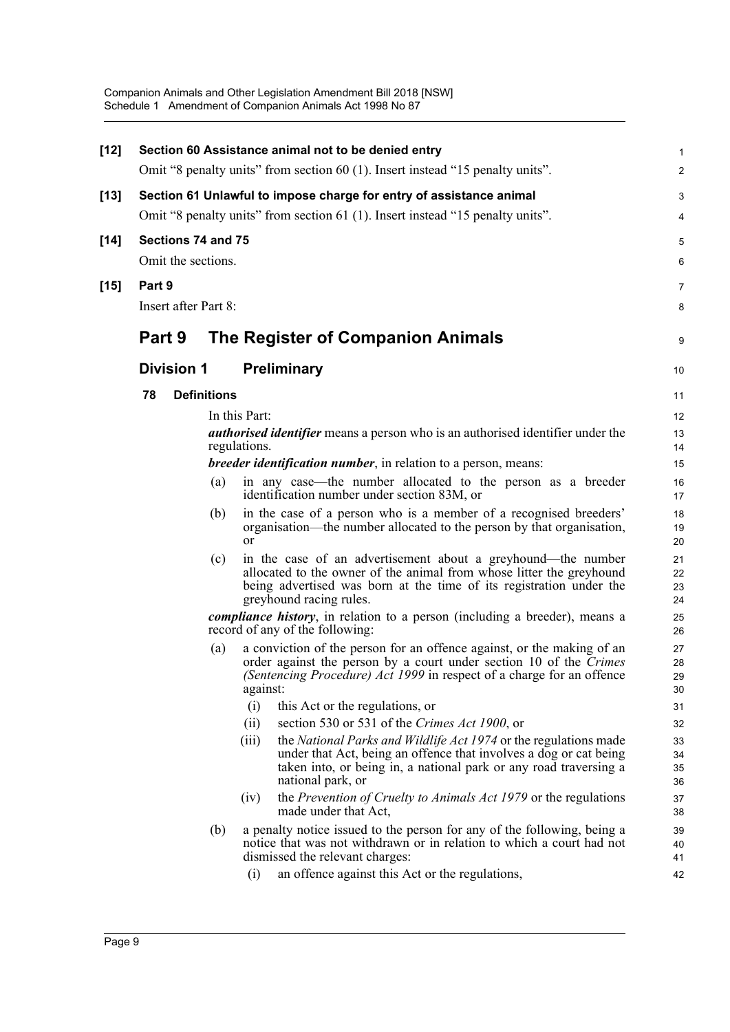| $[12]$ |        |                      |                    | Section 60 Assistance animal not to be denied entry                                                                                                                                                                                      | $\mathbf{1}$         |
|--------|--------|----------------------|--------------------|------------------------------------------------------------------------------------------------------------------------------------------------------------------------------------------------------------------------------------------|----------------------|
|        |        |                      |                    | Omit "8 penalty units" from section 60 (1). Insert instead "15 penalty units".                                                                                                                                                           | $\overline{2}$       |
| $[13]$ |        |                      |                    | Section 61 Unlawful to impose charge for entry of assistance animal                                                                                                                                                                      | 3                    |
|        |        |                      |                    | Omit "8 penalty units" from section 61 (1). Insert instead "15 penalty units".                                                                                                                                                           | 4                    |
| $[14]$ |        |                      | Sections 74 and 75 |                                                                                                                                                                                                                                          | 5                    |
|        |        | Omit the sections.   |                    |                                                                                                                                                                                                                                          | 6                    |
| $[15]$ | Part 9 |                      |                    |                                                                                                                                                                                                                                          | $\overline{7}$       |
|        |        | Insert after Part 8: |                    |                                                                                                                                                                                                                                          | 8                    |
|        | Part 9 |                      |                    | The Register of Companion Animals                                                                                                                                                                                                        | 9                    |
|        |        | <b>Division 1</b>    |                    | <b>Preliminary</b>                                                                                                                                                                                                                       | 10                   |
|        | 78     |                      | <b>Definitions</b> |                                                                                                                                                                                                                                          | 11                   |
|        |        |                      |                    | In this Part:                                                                                                                                                                                                                            | 12                   |
|        |        |                      |                    | <i>authorised identifier</i> means a person who is an authorised identifier under the<br>regulations.                                                                                                                                    | 13<br>14             |
|        |        |                      |                    | <i>breeder identification number</i> , in relation to a person, means:                                                                                                                                                                   | 15                   |
|        |        |                      | (a)                | in any case—the number allocated to the person as a breeder<br>identification number under section 83M, or                                                                                                                               | 16<br>17             |
|        |        |                      | (b)                | in the case of a person who is a member of a recognised breeders'<br>organisation—the number allocated to the person by that organisation,<br><b>or</b>                                                                                  | 18<br>19<br>20       |
|        |        |                      | (c)                | in the case of an advertisement about a greyhound—the number<br>allocated to the owner of the animal from whose litter the greyhound<br>being advertised was born at the time of its registration under the<br>greyhound racing rules.   | 21<br>22<br>23<br>24 |
|        |        |                      |                    | compliance history, in relation to a person (including a breeder), means a<br>record of any of the following:                                                                                                                            | 25<br>26             |
|        |        |                      | (a)                | a conviction of the person for an offence against, or the making of an<br>order against the person by a court under section 10 of the Crimes<br>(Sentencing Procedure) Act 1999 in respect of a charge for an offence<br>against:        | 27<br>28<br>29<br>30 |
|        |        |                      |                    | (i)<br>this Act or the regulations, or                                                                                                                                                                                                   | 31                   |
|        |        |                      |                    | section 530 or 531 of the Crimes Act 1900, or<br>(ii)                                                                                                                                                                                    | 32                   |
|        |        |                      |                    | the National Parks and Wildlife Act 1974 or the regulations made<br>(iii)<br>under that Act, being an offence that involves a dog or cat being<br>taken into, or being in, a national park or any road traversing a<br>national park, or | 33<br>34<br>35<br>36 |
|        |        |                      |                    | the <i>Prevention of Cruelty to Animals Act 1979</i> or the regulations<br>(iv)<br>made under that Act,                                                                                                                                  | 37<br>38             |
|        |        |                      | (b)                | a penalty notice issued to the person for any of the following, being a<br>notice that was not withdrawn or in relation to which a court had not<br>dismissed the relevant charges:                                                      | 39<br>40<br>41       |
|        |        |                      |                    | (i)<br>an offence against this Act or the regulations,                                                                                                                                                                                   | 42                   |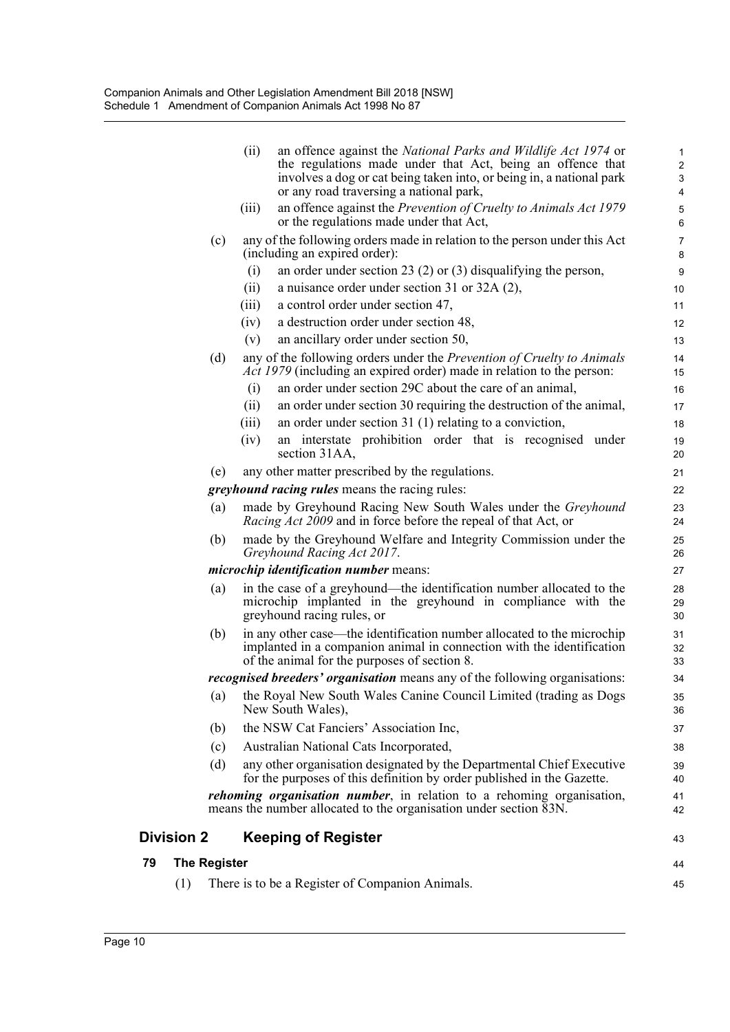|    | (1)                 | There is to be a Register of Companion Animals.                                                                                                                                                 | 45                  |
|----|---------------------|-------------------------------------------------------------------------------------------------------------------------------------------------------------------------------------------------|---------------------|
| 79 | <b>The Register</b> |                                                                                                                                                                                                 | 44                  |
|    | <b>Division 2</b>   | <b>Keeping of Register</b>                                                                                                                                                                      | 43                  |
|    |                     | <i>rehoming organisation number</i> , in relation to a rehoming organisation,<br>means the number allocated to the organisation under section 83N.                                              | 41<br>42            |
|    | (d)                 | any other organisation designated by the Departmental Chief Executive<br>for the purposes of this definition by order published in the Gazette.                                                 | 39<br>40            |
|    | (c)                 | Australian National Cats Incorporated,                                                                                                                                                          | 38                  |
|    | (b)                 | the NSW Cat Fanciers' Association Inc,                                                                                                                                                          | 37                  |
|    | $\left( a\right)$   | the Royal New South Wales Canine Council Limited (trading as Dogs<br>New South Wales),                                                                                                          | 35<br>36            |
|    |                     | recognised breeders' organisation means any of the following organisations:                                                                                                                     | 34                  |
|    | (b)                 | in any other case—the identification number allocated to the microchip<br>implanted in a companion animal in connection with the identification<br>of the animal for the purposes of section 8. | 31<br>32<br>33      |
|    | (a)                 | in the case of a greyhound—the identification number allocated to the<br>microchip implanted in the greyhound in compliance with the<br>greyhound racing rules, or                              | 28<br>29<br>30      |
|    |                     | <i>microchip identification number</i> means:                                                                                                                                                   | 27                  |
|    | (b)                 | made by the Greyhound Welfare and Integrity Commission under the<br>Greyhound Racing Act 2017.                                                                                                  | 25<br>26            |
|    | (a)                 | made by Greyhound Racing New South Wales under the Greyhound<br><i>Racing Act 2009</i> and in force before the repeal of that Act, or                                                           | 23<br>24            |
|    |                     | <i>greyhound racing rules</i> means the racing rules:                                                                                                                                           | 22                  |
|    | (e)                 | any other matter prescribed by the regulations.                                                                                                                                                 | 21                  |
|    |                     | an interstate prohibition order that is recognised under<br>(iv)<br>section 31AA,                                                                                                               | 19<br>20            |
|    |                     | an order under section $31$ (1) relating to a conviction,<br>(iii)                                                                                                                              | 18                  |
|    |                     | (ii)<br>an order under section 30 requiring the destruction of the animal,                                                                                                                      | 17                  |
|    |                     | Act 1979 (including an expired order) made in relation to the person:<br>an order under section 29C about the care of an animal,<br>(i)                                                         | 15<br>16            |
|    | (d)                 | any of the following orders under the <i>Prevention of Cruelty to Animals</i>                                                                                                                   | 14                  |
|    |                     | an ancillary order under section 50,<br>(v)                                                                                                                                                     | 13                  |
|    |                     | a destruction order under section 48,<br>(iv)                                                                                                                                                   | 12                  |
|    |                     | (iii)<br>a control order under section 47,                                                                                                                                                      | 11                  |
|    |                     | an order under section 23 (2) or (3) disqualifying the person,<br>(i)<br>(ii)<br>a nuisance order under section 31 or 32A $(2)$ ,                                                               | 9<br>10             |
|    | (c)                 | (including an expired order):                                                                                                                                                                   | 7<br>8              |
|    |                     | or the regulations made under that Act,<br>any of the following orders made in relation to the person under this Act                                                                            | 6                   |
|    |                     | involves a dog or cat being taken into, or being in, a national park<br>or any road traversing a national park,<br>(iii)<br>an offence against the Prevention of Cruelty to Animals Act 1979    | 3<br>4<br>5         |
|    |                     | (ii)<br>an offence against the National Parks and Wildlife Act 1974 or<br>the regulations made under that Act, being an offence that                                                            | 1<br>$\overline{2}$ |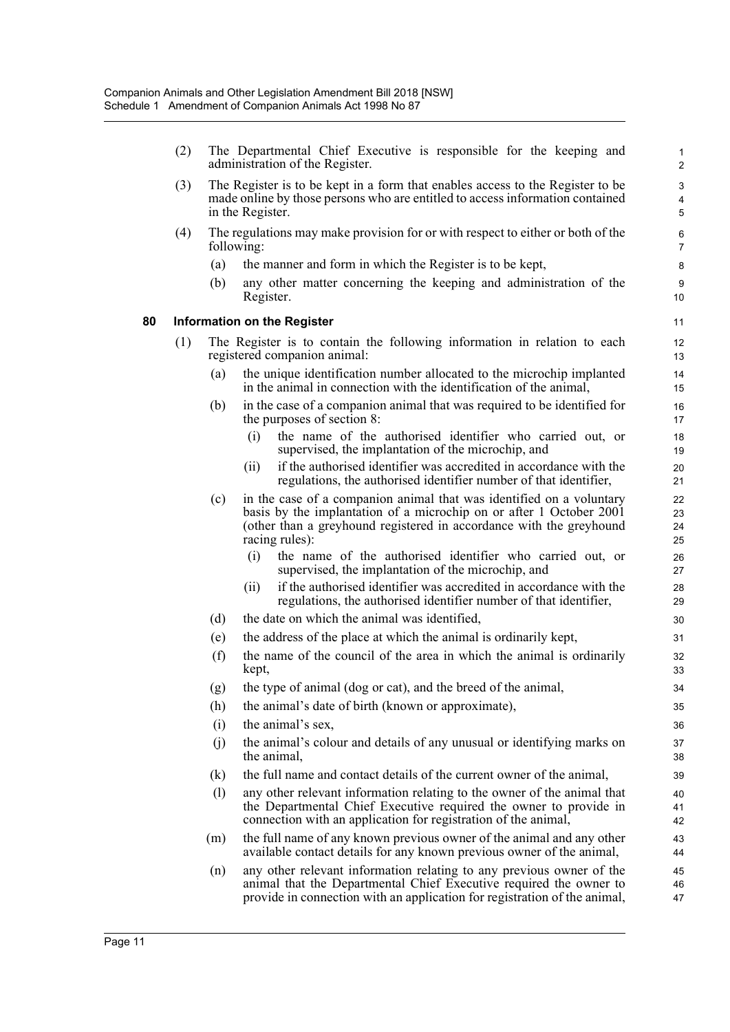(2) The Departmental Chief Executive is responsible for the keeping and administration of the Register.

- (3) The Register is to be kept in a form that enables access to the Register to be made online by those persons who are entitled to access information contained in the Register.
- (4) The regulations may make provision for or with respect to either or both of the following:
	- (a) the manner and form in which the Register is to be kept,
	- (b) any other matter concerning the keeping and administration of the Register.

#### **80 Information on the Register**

- (1) The Register is to contain the following information in relation to each registered companion animal:
	- (a) the unique identification number allocated to the microchip implanted in the animal in connection with the identification of the animal,
	- (b) in the case of a companion animal that was required to be identified for the purposes of section 8:
		- (i) the name of the authorised identifier who carried out, or supervised, the implantation of the microchip, and
		- (ii) if the authorised identifier was accredited in accordance with the regulations, the authorised identifier number of that identifier,
	- (c) in the case of a companion animal that was identified on a voluntary basis by the implantation of a microchip on or after 1 October 2001 (other than a greyhound registered in accordance with the greyhound racing rules):
		- (i) the name of the authorised identifier who carried out, or supervised, the implantation of the microchip, and
		- (ii) if the authorised identifier was accredited in accordance with the regulations, the authorised identifier number of that identifier,
	- (d) the date on which the animal was identified,
	- (e) the address of the place at which the animal is ordinarily kept,
	- (f) the name of the council of the area in which the animal is ordinarily kept,
	- (g) the type of animal (dog or cat), and the breed of the animal,
	- (h) the animal's date of birth (known or approximate),
	- (i) the animal's sex,
	- (j) the animal's colour and details of any unusual or identifying marks on the animal,
	- (k) the full name and contact details of the current owner of the animal,
	- (l) any other relevant information relating to the owner of the animal that the Departmental Chief Executive required the owner to provide in connection with an application for registration of the animal,
	- (m) the full name of any known previous owner of the animal and any other available contact details for any known previous owner of the animal,
	- (n) any other relevant information relating to any previous owner of the animal that the Departmental Chief Executive required the owner to provide in connection with an application for registration of the animal,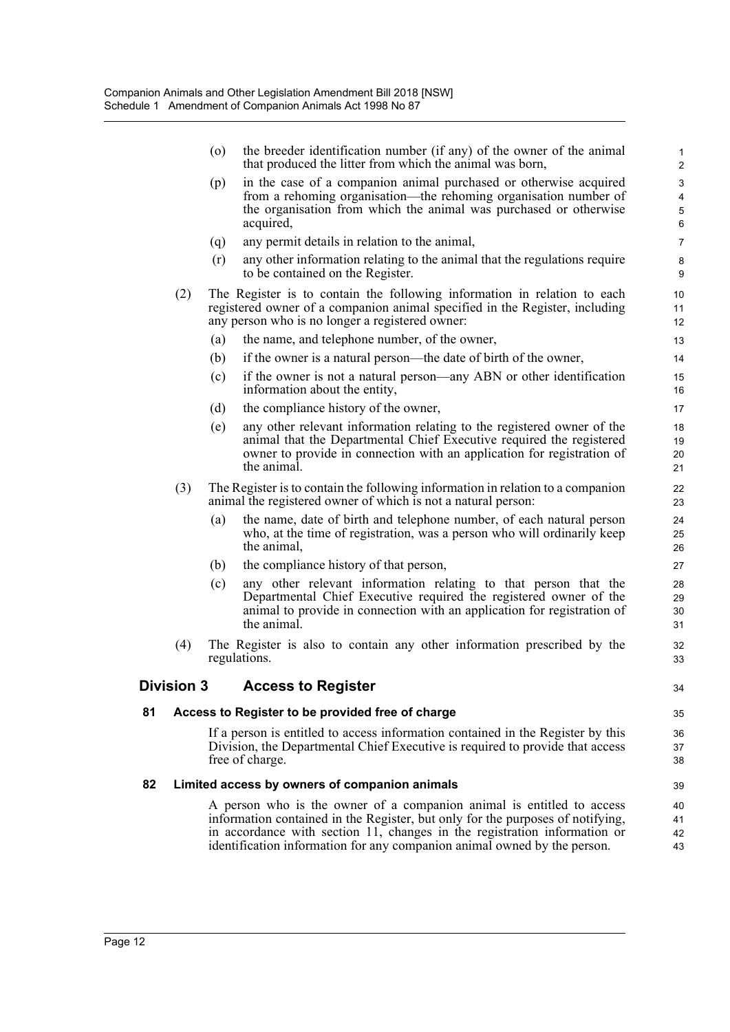|    |                   | $\circ$ | the breeder identification number (if any) of the owner of the animal<br>that produced the litter from which the animal was born,                                                                                                                                                                                | $\mathbf{1}$<br>$\overline{2}$ |
|----|-------------------|---------|------------------------------------------------------------------------------------------------------------------------------------------------------------------------------------------------------------------------------------------------------------------------------------------------------------------|--------------------------------|
|    |                   | (p)     | in the case of a companion animal purchased or otherwise acquired<br>from a rehoming organisation—the rehoming organisation number of<br>the organisation from which the animal was purchased or otherwise<br>acquired,                                                                                          | 3<br>4<br>5<br>6               |
|    |                   | (q)     | any permit details in relation to the animal,                                                                                                                                                                                                                                                                    | $\overline{7}$                 |
|    |                   | (r)     | any other information relating to the animal that the regulations require<br>to be contained on the Register.                                                                                                                                                                                                    | 8<br>9                         |
|    | (2)               |         | The Register is to contain the following information in relation to each<br>registered owner of a companion animal specified in the Register, including<br>any person who is no longer a registered owner:                                                                                                       | 10<br>11<br>$12 \overline{ }$  |
|    |                   | (a)     | the name, and telephone number, of the owner,                                                                                                                                                                                                                                                                    | 13                             |
|    |                   | (b)     | if the owner is a natural person—the date of birth of the owner,                                                                                                                                                                                                                                                 | 14                             |
|    |                   | (c)     | if the owner is not a natural person—any ABN or other identification<br>information about the entity,                                                                                                                                                                                                            | 15<br>16                       |
|    |                   | (d)     | the compliance history of the owner,                                                                                                                                                                                                                                                                             | 17                             |
|    |                   | (e)     | any other relevant information relating to the registered owner of the<br>animal that the Departmental Chief Executive required the registered<br>owner to provide in connection with an application for registration of<br>the animal.                                                                          | 18<br>19<br>20<br>21           |
|    | (3)               |         | The Register is to contain the following information in relation to a companion<br>animal the registered owner of which is not a natural person:                                                                                                                                                                 | 22<br>23                       |
|    |                   | (a)     | the name, date of birth and telephone number, of each natural person<br>who, at the time of registration, was a person who will ordinarily keep<br>the animal,                                                                                                                                                   | 24<br>25<br>26                 |
|    |                   | (b)     | the compliance history of that person,                                                                                                                                                                                                                                                                           | 27                             |
|    |                   | (c)     | any other relevant information relating to that person that the<br>Departmental Chief Executive required the registered owner of the<br>animal to provide in connection with an application for registration of<br>the animal.                                                                                   | 28<br>29<br>30<br>31           |
|    | (4)               |         | The Register is also to contain any other information prescribed by the<br>regulations.                                                                                                                                                                                                                          | 32<br>33                       |
|    | <b>Division 3</b> |         | <b>Access to Register</b>                                                                                                                                                                                                                                                                                        | 34                             |
| 81 |                   |         | Access to Register to be provided free of charge                                                                                                                                                                                                                                                                 | 35                             |
|    |                   |         | If a person is entitled to access information contained in the Register by this<br>Division, the Departmental Chief Executive is required to provide that access<br>free of charge.                                                                                                                              | 36<br>37<br>38                 |
| 82 |                   |         | Limited access by owners of companion animals                                                                                                                                                                                                                                                                    | 39                             |
|    |                   |         | A person who is the owner of a companion animal is entitled to access<br>information contained in the Register, but only for the purposes of notifying,<br>in accordance with section 11, changes in the registration information or<br>identification information for any companion animal owned by the person. | 40<br>41<br>42<br>43           |
|    |                   |         |                                                                                                                                                                                                                                                                                                                  |                                |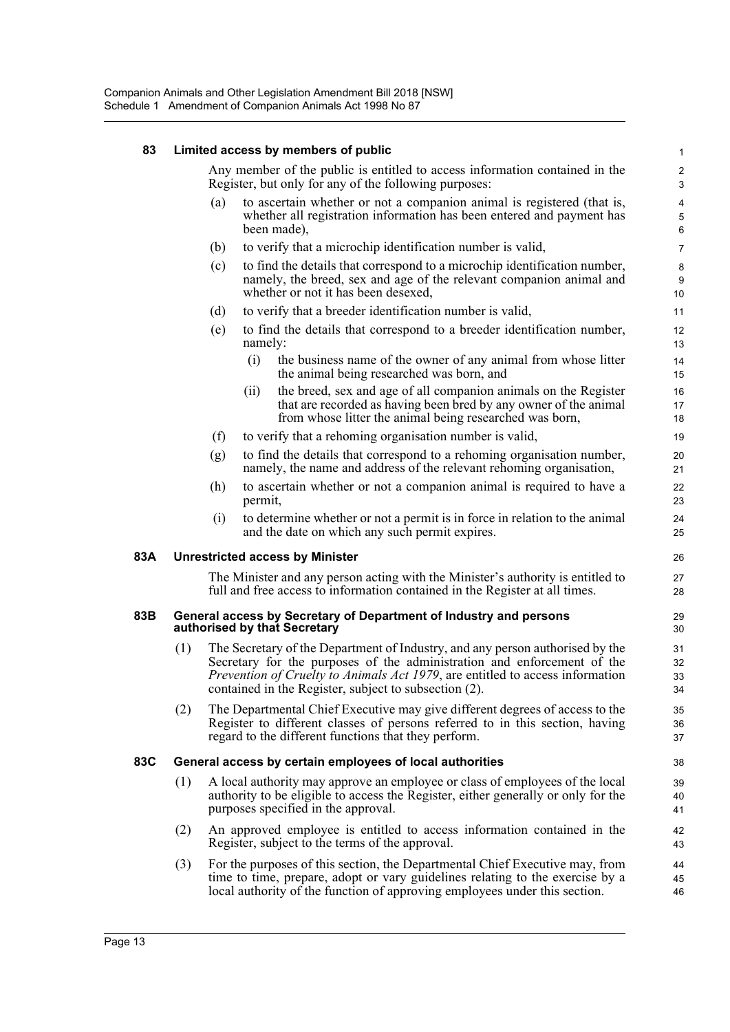### **83 Limited access by members of public**

| 83  |     |     | Limited access by members of public                                                                                                                                                                                                                                                                        | $\mathbf{1}$                 |
|-----|-----|-----|------------------------------------------------------------------------------------------------------------------------------------------------------------------------------------------------------------------------------------------------------------------------------------------------------------|------------------------------|
|     |     |     | Any member of the public is entitled to access information contained in the<br>Register, but only for any of the following purposes:                                                                                                                                                                       | $\overline{\mathbf{c}}$<br>3 |
|     |     | (a) | to ascertain whether or not a companion animal is registered (that is,<br>whether all registration information has been entered and payment has<br>been made),                                                                                                                                             | 4<br>5<br>6                  |
|     |     | (b) | to verify that a microchip identification number is valid,                                                                                                                                                                                                                                                 | $\overline{7}$               |
|     |     | (c) | to find the details that correspond to a microchip identification number,<br>namely, the breed, sex and age of the relevant companion animal and<br>whether or not it has been desexed,                                                                                                                    | 8<br>9<br>10                 |
|     |     | (d) | to verify that a breeder identification number is valid,                                                                                                                                                                                                                                                   | 11                           |
|     |     | (e) | to find the details that correspond to a breeder identification number,<br>namely:                                                                                                                                                                                                                         | 12<br>13                     |
|     |     |     | (i)<br>the business name of the owner of any animal from whose litter<br>the animal being researched was born, and                                                                                                                                                                                         | 14<br>15                     |
|     |     |     | the breed, sex and age of all companion animals on the Register<br>(ii)<br>that are recorded as having been bred by any owner of the animal<br>from whose litter the animal being researched was born,                                                                                                     | 16<br>17<br>18               |
|     |     | (f) | to verify that a rehoming organisation number is valid,                                                                                                                                                                                                                                                    | 19                           |
|     |     | (g) | to find the details that correspond to a rehoming organisation number,<br>namely, the name and address of the relevant rehoming organisation,                                                                                                                                                              | 20<br>21                     |
|     |     | (h) | to ascertain whether or not a companion animal is required to have a<br>permit,                                                                                                                                                                                                                            | 22<br>23                     |
|     |     | (i) | to determine whether or not a permit is in force in relation to the animal<br>and the date on which any such permit expires.                                                                                                                                                                               | 24<br>25                     |
| 83A |     |     | <b>Unrestricted access by Minister</b>                                                                                                                                                                                                                                                                     | 26                           |
|     |     |     | The Minister and any person acting with the Minister's authority is entitled to<br>full and free access to information contained in the Register at all times.                                                                                                                                             | 27<br>28                     |
| 83B |     |     | General access by Secretary of Department of Industry and persons<br>authorised by that Secretary                                                                                                                                                                                                          | 29<br>30                     |
|     | (1) |     | The Secretary of the Department of Industry, and any person authorised by the<br>Secretary for the purposes of the administration and enforcement of the<br><i>Prevention of Cruelty to Animals Act 1979</i> , are entitled to access information<br>contained in the Register, subject to subsection (2). | 31<br>32<br>33<br>34         |
|     | (2) |     | The Departmental Chief Executive may give different degrees of access to the<br>Register to different classes of persons referred to in this section, having<br>regard to the different functions that they perform.                                                                                       | 35<br>36<br>37               |
| 83C |     |     | General access by certain employees of local authorities                                                                                                                                                                                                                                                   | 38                           |
|     | (1) |     | A local authority may approve an employee or class of employees of the local<br>authority to be eligible to access the Register, either generally or only for the<br>purposes specified in the approval.                                                                                                   | 39<br>40<br>41               |
|     | (2) |     | An approved employee is entitled to access information contained in the<br>Register, subject to the terms of the approval.                                                                                                                                                                                 | 42<br>43                     |
|     | (3) |     | For the purposes of this section, the Departmental Chief Executive may, from<br>time to time, prepare, adopt or vary guidelines relating to the exercise by a<br>local authority of the function of approving employees under this section.                                                                | 44<br>45<br>46               |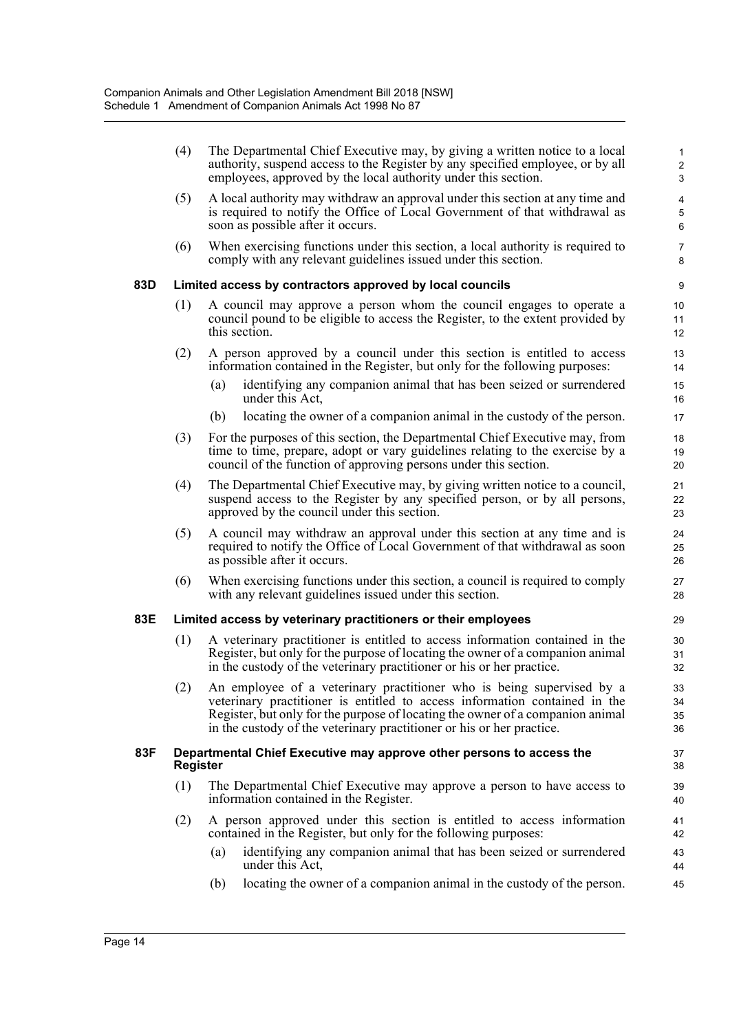|     | (4)             | The Departmental Chief Executive may, by giving a written notice to a local<br>authority, suspend access to the Register by any specified employee, or by all<br>employees, approved by the local authority under this section.                                                                                | 1<br>$\sqrt{2}$<br>3                                      |
|-----|-----------------|----------------------------------------------------------------------------------------------------------------------------------------------------------------------------------------------------------------------------------------------------------------------------------------------------------------|-----------------------------------------------------------|
|     | (5)             | A local authority may withdraw an approval under this section at any time and<br>is required to notify the Office of Local Government of that withdrawal as<br>soon as possible after it occurs.                                                                                                               | $\overline{\mathbf{4}}$<br>$\mathbf 5$<br>$6\phantom{1}6$ |
|     | (6)             | When exercising functions under this section, a local authority is required to<br>comply with any relevant guidelines issued under this section.                                                                                                                                                               | $\overline{7}$<br>8                                       |
| 83D |                 | Limited access by contractors approved by local councils                                                                                                                                                                                                                                                       | 9                                                         |
|     | (1)             | A council may approve a person whom the council engages to operate a<br>council pound to be eligible to access the Register, to the extent provided by<br>this section.                                                                                                                                        | 10<br>11<br>12                                            |
|     | (2)             | A person approved by a council under this section is entitled to access<br>information contained in the Register, but only for the following purposes:                                                                                                                                                         | 13<br>14                                                  |
|     |                 | identifying any companion animal that has been seized or surrendered<br>(a)<br>under this Act,                                                                                                                                                                                                                 | 15<br>16                                                  |
|     |                 | locating the owner of a companion animal in the custody of the person.<br>(b)                                                                                                                                                                                                                                  | 17                                                        |
|     | (3)             | For the purposes of this section, the Departmental Chief Executive may, from<br>time to time, prepare, adopt or vary guidelines relating to the exercise by a<br>council of the function of approving persons under this section.                                                                              | 18<br>19<br>20                                            |
|     | (4)             | The Departmental Chief Executive may, by giving written notice to a council,<br>suspend access to the Register by any specified person, or by all persons,<br>approved by the council under this section.                                                                                                      | 21<br>22<br>23                                            |
|     | (5)             | A council may withdraw an approval under this section at any time and is<br>required to notify the Office of Local Government of that withdrawal as soon<br>as possible after it occurs.                                                                                                                       | 24<br>25<br>26                                            |
|     | (6)             | When exercising functions under this section, a council is required to comply<br>with any relevant guidelines issued under this section.                                                                                                                                                                       | 27<br>28                                                  |
| 83E |                 | Limited access by veterinary practitioners or their employees                                                                                                                                                                                                                                                  | 29                                                        |
|     | (1)             | A veterinary practitioner is entitled to access information contained in the<br>Register, but only for the purpose of locating the owner of a companion animal<br>in the custody of the veterinary practitioner or his or her practice.                                                                        | 30<br>31<br>32                                            |
|     | (2)             | An employee of a veterinary practitioner who is being supervised by a<br>veterinary practitioner is entitled to access information contained in the<br>Register, but only for the purpose of locating the owner of a companion animal<br>in the custody of the veterinary practitioner or his or her practice. | 33<br>34<br>35<br>36                                      |
| 83F | <b>Register</b> | Departmental Chief Executive may approve other persons to access the                                                                                                                                                                                                                                           | 37<br>38                                                  |
|     | (1)             | The Departmental Chief Executive may approve a person to have access to<br>information contained in the Register.                                                                                                                                                                                              | 39<br>40                                                  |
|     | (2)             | A person approved under this section is entitled to access information<br>contained in the Register, but only for the following purposes:                                                                                                                                                                      | 41<br>42                                                  |
|     |                 | identifying any companion animal that has been seized or surrendered<br>(a)<br>under this Act,                                                                                                                                                                                                                 | 43<br>44                                                  |
|     |                 | locating the owner of a companion animal in the custody of the person.<br>(b)                                                                                                                                                                                                                                  | 45                                                        |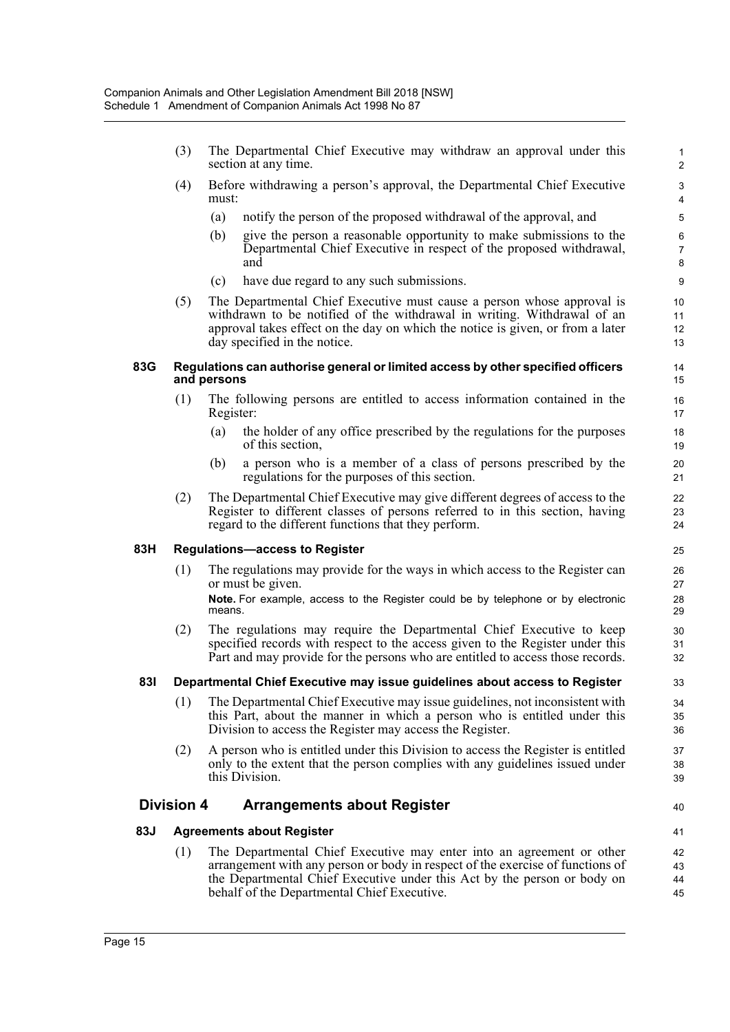- (3) The Departmental Chief Executive may withdraw an approval under this section at any time.
- (4) Before withdrawing a person's approval, the Departmental Chief Executive must:
	- (a) notify the person of the proposed withdrawal of the approval, and
	- (b) give the person a reasonable opportunity to make submissions to the Departmental Chief Executive in respect of the proposed withdrawal, and
	- (c) have due regard to any such submissions.
- (5) The Departmental Chief Executive must cause a person whose approval is withdrawn to be notified of the withdrawal in writing. Withdrawal of an approval takes effect on the day on which the notice is given, or from a later day specified in the notice.

#### **83G Regulations can authorise general or limited access by other specified officers and persons**

- (1) The following persons are entitled to access information contained in the Register:
	- (a) the holder of any office prescribed by the regulations for the purposes of this section,
	- (b) a person who is a member of a class of persons prescribed by the regulations for the purposes of this section.
- (2) The Departmental Chief Executive may give different degrees of access to the Register to different classes of persons referred to in this section, having regard to the different functions that they perform.

### **83H Regulations—access to Register**

- (1) The regulations may provide for the ways in which access to the Register can or must be given.
	- **Note.** For example, access to the Register could be by telephone or by electronic means.
- (2) The regulations may require the Departmental Chief Executive to keep specified records with respect to the access given to the Register under this Part and may provide for the persons who are entitled to access those records.

### **83I Departmental Chief Executive may issue guidelines about access to Register**

- (1) The Departmental Chief Executive may issue guidelines, not inconsistent with this Part, about the manner in which a person who is entitled under this Division to access the Register may access the Register.
- (2) A person who is entitled under this Division to access the Register is entitled only to the extent that the person complies with any guidelines issued under this Division.

### **Division 4 Arrangements about Register**

### **83J Agreements about Register**

(1) The Departmental Chief Executive may enter into an agreement or other arrangement with any person or body in respect of the exercise of functions of the Departmental Chief Executive under this Act by the person or body on behalf of the Departmental Chief Executive.

40

41 42

43 44 45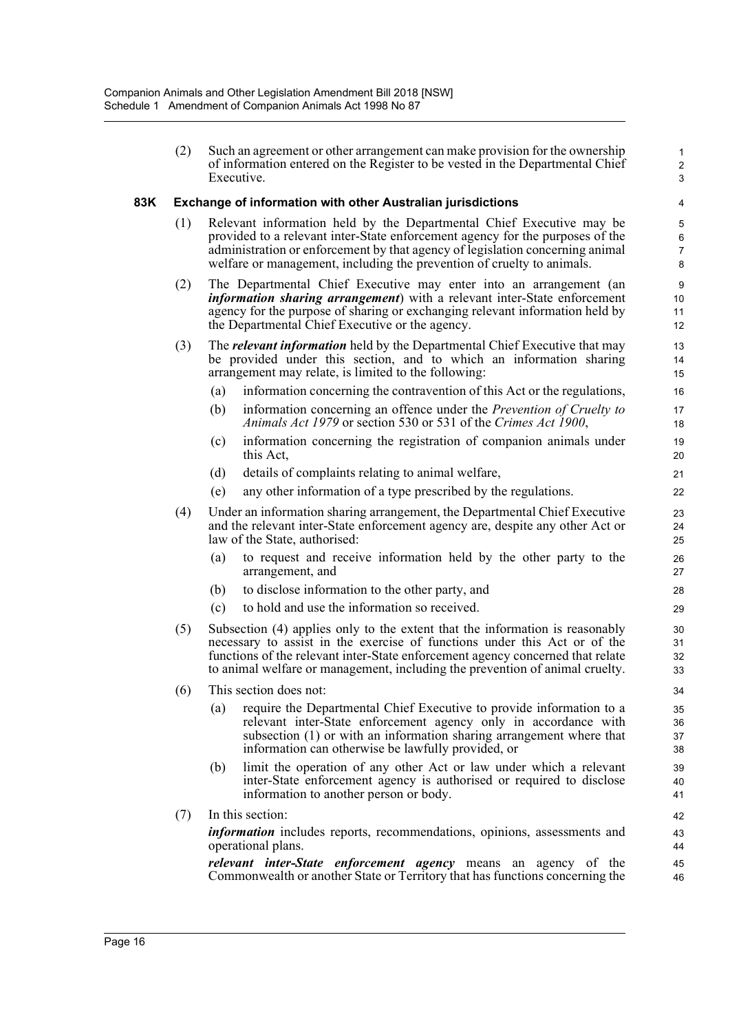(2) Such an agreement or other arrangement can make provision for the ownership of information entered on the Register to be vested in the Departmental Chief Executive.

1 2 3

### **83K Exchange of information with other Australian jurisdictions**

- (1) Relevant information held by the Departmental Chief Executive may be provided to a relevant inter-State enforcement agency for the purposes of the administration or enforcement by that agency of legislation concerning animal welfare or management, including the prevention of cruelty to animals.
- (2) The Departmental Chief Executive may enter into an arrangement (an *information sharing arrangement*) with a relevant inter-State enforcement agency for the purpose of sharing or exchanging relevant information held by the Departmental Chief Executive or the agency.
- (3) The *relevant information* held by the Departmental Chief Executive that may be provided under this section, and to which an information sharing arrangement may relate, is limited to the following:
	- (a) information concerning the contravention of this Act or the regulations,
	- (b) information concerning an offence under the *Prevention of Cruelty to Animals Act 1979* or section 530 or 531 of the *Crimes Act 1900*,
	- (c) information concerning the registration of companion animals under this Act,
	- (d) details of complaints relating to animal welfare,
	- (e) any other information of a type prescribed by the regulations.
- (4) Under an information sharing arrangement, the Departmental Chief Executive and the relevant inter-State enforcement agency are, despite any other Act or law of the State, authorised:
	- (a) to request and receive information held by the other party to the arrangement, and
	- (b) to disclose information to the other party, and
	- (c) to hold and use the information so received.
- (5) Subsection (4) applies only to the extent that the information is reasonably necessary to assist in the exercise of functions under this Act or of the functions of the relevant inter-State enforcement agency concerned that relate to animal welfare or management, including the prevention of animal cruelty.
- (6) This section does not:
	- (a) require the Departmental Chief Executive to provide information to a relevant inter-State enforcement agency only in accordance with subsection (1) or with an information sharing arrangement where that information can otherwise be lawfully provided, or
	- (b) limit the operation of any other Act or law under which a relevant inter-State enforcement agency is authorised or required to disclose information to another person or body.
- (7) In this section: *information* includes reports, recommendations, opinions, assessments and operational plans. *relevant inter-State enforcement agency* means an agency of the

Commonwealth or another State or Territory that has functions concerning the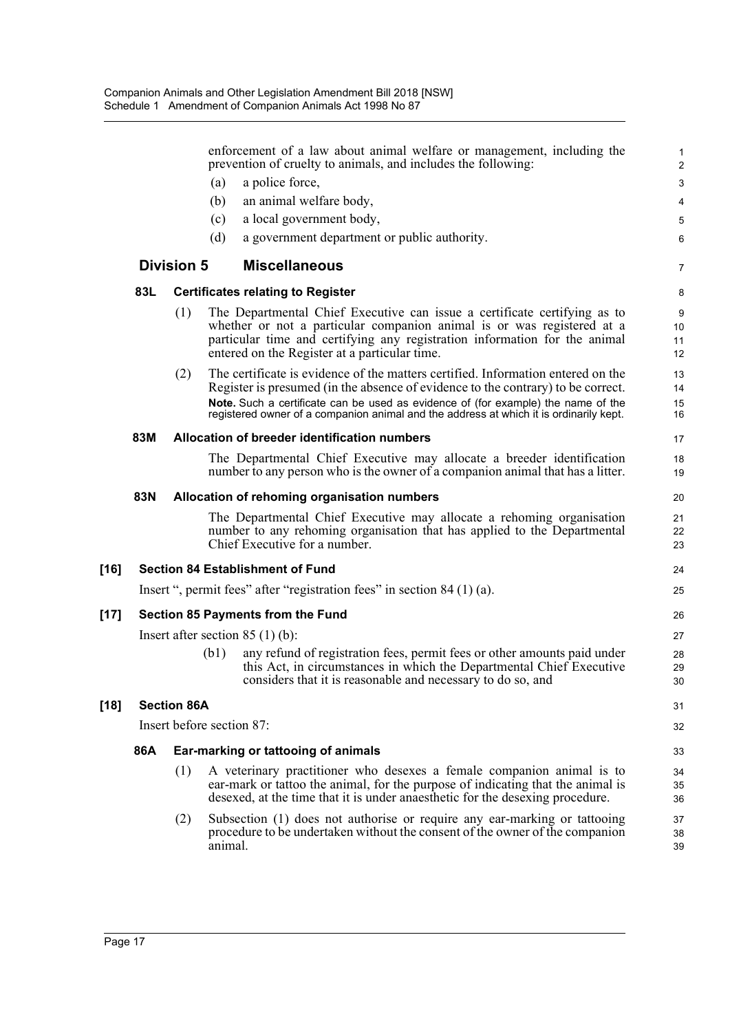|        |                                                                          |                    | enforcement of a law about animal welfare or management, including the<br>prevention of cruelty to animals, and includes the following:                                                                                                                                                                                                             | 1<br>$\overline{2}$  |  |  |
|--------|--------------------------------------------------------------------------|--------------------|-----------------------------------------------------------------------------------------------------------------------------------------------------------------------------------------------------------------------------------------------------------------------------------------------------------------------------------------------------|----------------------|--|--|
|        |                                                                          |                    | a police force,<br>(a)                                                                                                                                                                                                                                                                                                                              | 3                    |  |  |
|        |                                                                          |                    | an animal welfare body,<br>(b)                                                                                                                                                                                                                                                                                                                      | 4                    |  |  |
|        |                                                                          |                    | a local government body,<br>(c)                                                                                                                                                                                                                                                                                                                     | 5                    |  |  |
|        |                                                                          |                    | (d)<br>a government department or public authority.                                                                                                                                                                                                                                                                                                 | 6                    |  |  |
|        |                                                                          | <b>Division 5</b>  | <b>Miscellaneous</b>                                                                                                                                                                                                                                                                                                                                | $\overline{7}$       |  |  |
|        | 83L                                                                      |                    | <b>Certificates relating to Register</b>                                                                                                                                                                                                                                                                                                            | 8                    |  |  |
|        |                                                                          | (1)                | The Departmental Chief Executive can issue a certificate certifying as to<br>whether or not a particular companion animal is or was registered at a<br>particular time and certifying any registration information for the animal<br>entered on the Register at a particular time.                                                                  | 9<br>10<br>11<br>12  |  |  |
|        |                                                                          | (2)                | The certificate is evidence of the matters certified. Information entered on the<br>Register is presumed (in the absence of evidence to the contrary) to be correct.<br>Note. Such a certificate can be used as evidence of (for example) the name of the<br>registered owner of a companion animal and the address at which it is ordinarily kept. | 13<br>14<br>15<br>16 |  |  |
|        | 83M                                                                      |                    | Allocation of breeder identification numbers                                                                                                                                                                                                                                                                                                        | 17                   |  |  |
|        |                                                                          |                    | The Departmental Chief Executive may allocate a breeder identification<br>number to any person who is the owner of a companion animal that has a litter.                                                                                                                                                                                            | 18<br>19             |  |  |
|        | 83N                                                                      |                    | Allocation of rehoming organisation numbers                                                                                                                                                                                                                                                                                                         | 20                   |  |  |
|        |                                                                          |                    | The Departmental Chief Executive may allocate a rehoming organisation<br>number to any rehoming organisation that has applied to the Departmental<br>Chief Executive for a number.                                                                                                                                                                  | 21<br>22<br>23       |  |  |
| [16]   | <b>Section 84 Establishment of Fund</b>                                  |                    |                                                                                                                                                                                                                                                                                                                                                     |                      |  |  |
|        | Insert ", permit fees" after "registration fees" in section $84(1)(a)$ . |                    |                                                                                                                                                                                                                                                                                                                                                     |                      |  |  |
| $[17]$ |                                                                          |                    | <b>Section 85 Payments from the Fund</b>                                                                                                                                                                                                                                                                                                            | 26                   |  |  |
|        |                                                                          |                    | Insert after section $85(1)(b)$ :                                                                                                                                                                                                                                                                                                                   | 27                   |  |  |
|        |                                                                          |                    | any refund of registration fees, permit fees or other amounts paid under<br>(b1)<br>this Act, in circumstances in which the Departmental Chief Executive<br>considers that it is reasonable and necessary to do so, and                                                                                                                             | 28<br>29<br>30       |  |  |
| [18]   |                                                                          | <b>Section 86A</b> |                                                                                                                                                                                                                                                                                                                                                     | 31                   |  |  |
|        | Insert before section 87:                                                |                    |                                                                                                                                                                                                                                                                                                                                                     |                      |  |  |
|        | 86A                                                                      |                    | Ear-marking or tattooing of animals                                                                                                                                                                                                                                                                                                                 | 33                   |  |  |
|        |                                                                          | (1)                | A veterinary practitioner who desexes a female companion animal is to<br>ear-mark or tattoo the animal, for the purpose of indicating that the animal is<br>desexed, at the time that it is under anaesthetic for the desexing procedure.                                                                                                           | 34<br>35<br>36       |  |  |
|        |                                                                          | (2)                | Subsection (1) does not authorise or require any ear-marking or tattooing<br>procedure to be undertaken without the consent of the owner of the companion<br>animal.                                                                                                                                                                                | 37<br>38<br>39       |  |  |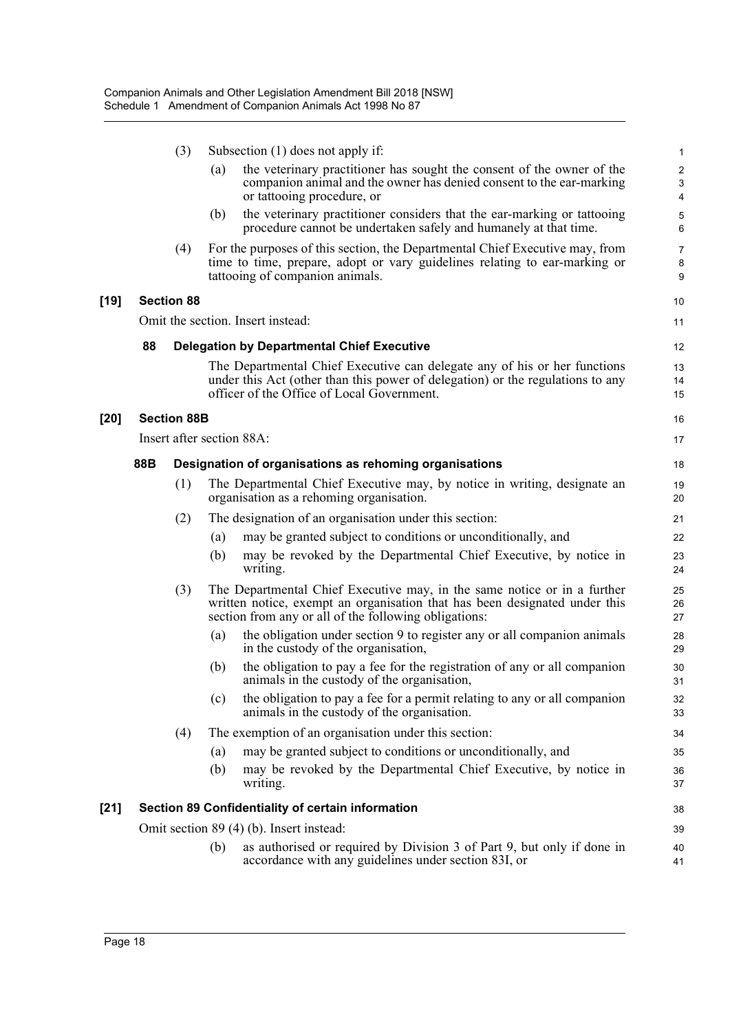|        |                                                         | (3)                                               | Subsection $(1)$ does not apply if: |                                                                                                                                                                                                                 |                               |  |  |  |
|--------|---------------------------------------------------------|---------------------------------------------------|-------------------------------------|-----------------------------------------------------------------------------------------------------------------------------------------------------------------------------------------------------------------|-------------------------------|--|--|--|
|        |                                                         |                                                   | (a)                                 | the veterinary practitioner has sought the consent of the owner of the<br>companion animal and the owner has denied consent to the ear-marking<br>or tattooing procedure, or                                    | $\sqrt{2}$<br>$\sqrt{3}$<br>4 |  |  |  |
|        |                                                         |                                                   | (b)                                 | the veterinary practitioner considers that the ear-marking or tattooing<br>procedure cannot be undertaken safely and humanely at that time.                                                                     | 5<br>6                        |  |  |  |
|        |                                                         | (4)                                               |                                     | For the purposes of this section, the Departmental Chief Executive may, from<br>time to time, prepare, adopt or vary guidelines relating to ear-marking or<br>tattooing of companion animals.                   | $\overline{7}$<br>8<br>9      |  |  |  |
| $[19]$ |                                                         | <b>Section 88</b>                                 |                                     |                                                                                                                                                                                                                 | 10                            |  |  |  |
|        | Omit the section. Insert instead:                       |                                                   |                                     |                                                                                                                                                                                                                 | 11                            |  |  |  |
|        | 88<br><b>Delegation by Departmental Chief Executive</b> |                                                   |                                     |                                                                                                                                                                                                                 |                               |  |  |  |
|        |                                                         |                                                   |                                     | The Departmental Chief Executive can delegate any of his or her functions<br>under this Act (other than this power of delegation) or the regulations to any<br>officer of the Office of Local Government.       | 13<br>14<br>15                |  |  |  |
| $[20]$ |                                                         | <b>Section 88B</b>                                |                                     |                                                                                                                                                                                                                 | 16                            |  |  |  |
|        |                                                         |                                                   |                                     | Insert after section 88A:                                                                                                                                                                                       | 17                            |  |  |  |
|        | 88B                                                     |                                                   |                                     | Designation of organisations as rehoming organisations                                                                                                                                                          | 18                            |  |  |  |
|        |                                                         | (1)                                               |                                     | The Departmental Chief Executive may, by notice in writing, designate an<br>organisation as a rehoming organisation.                                                                                            | 19<br>20                      |  |  |  |
|        |                                                         | (2)                                               |                                     | The designation of an organisation under this section:                                                                                                                                                          | 21                            |  |  |  |
|        |                                                         |                                                   | (a)                                 | may be granted subject to conditions or unconditionally, and                                                                                                                                                    | 22                            |  |  |  |
|        |                                                         |                                                   | (b)                                 | may be revoked by the Departmental Chief Executive, by notice in<br>writing.                                                                                                                                    | 23<br>24                      |  |  |  |
|        |                                                         | (3)                                               |                                     | The Departmental Chief Executive may, in the same notice or in a further<br>written notice, exempt an organisation that has been designated under this<br>section from any or all of the following obligations: | 25<br>26<br>27                |  |  |  |
|        |                                                         |                                                   | (a)                                 | the obligation under section 9 to register any or all companion animals<br>in the custody of the organisation,                                                                                                  | 28<br>29                      |  |  |  |
|        |                                                         |                                                   | (b)                                 | the obligation to pay a fee for the registration of any or all companion<br>animals in the custody of the organisation,                                                                                         | 30<br>31                      |  |  |  |
|        |                                                         |                                                   | (c)                                 | the obligation to pay a fee for a permit relating to any or all companion<br>animals in the custody of the organisation.                                                                                        | 32<br>33                      |  |  |  |
|        |                                                         | (4)                                               |                                     | The exemption of an organisation under this section:                                                                                                                                                            | 34                            |  |  |  |
|        |                                                         |                                                   | (a)                                 | may be granted subject to conditions or unconditionally, and                                                                                                                                                    | 35                            |  |  |  |
|        |                                                         |                                                   | (b)                                 | may be revoked by the Departmental Chief Executive, by notice in<br>writing.                                                                                                                                    | 36<br>37                      |  |  |  |
| $[21]$ |                                                         | Section 89 Confidentiality of certain information |                                     |                                                                                                                                                                                                                 |                               |  |  |  |
|        |                                                         |                                                   |                                     | Omit section 89 (4) (b). Insert instead:                                                                                                                                                                        | 39                            |  |  |  |
|        |                                                         |                                                   | (b)                                 | as authorised or required by Division 3 of Part 9, but only if done in<br>accordance with any guidelines under section 83I, or                                                                                  | 40<br>41                      |  |  |  |
|        |                                                         |                                                   |                                     |                                                                                                                                                                                                                 |                               |  |  |  |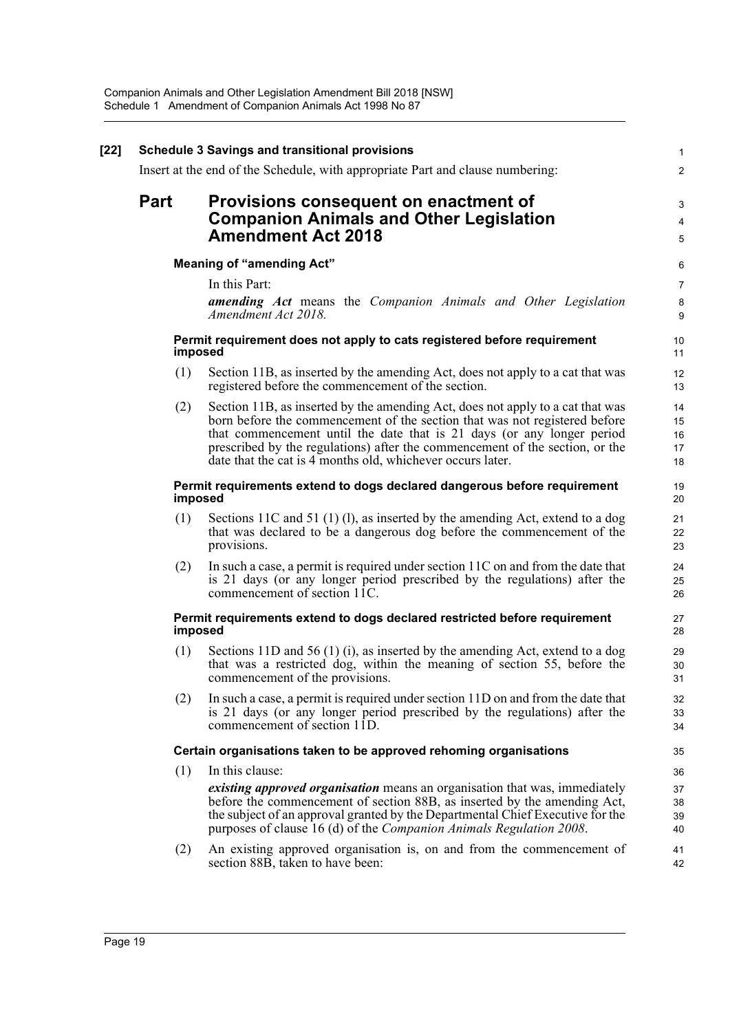| $[22]$ | <b>Schedule 3 Savings and transitional provisions</b><br>Insert at the end of the Schedule, with appropriate Part and clause numbering: |                                                                                                                                                                                                                                                                                                                                                                                      |                            |  |  |  |
|--------|-----------------------------------------------------------------------------------------------------------------------------------------|--------------------------------------------------------------------------------------------------------------------------------------------------------------------------------------------------------------------------------------------------------------------------------------------------------------------------------------------------------------------------------------|----------------------------|--|--|--|
|        |                                                                                                                                         |                                                                                                                                                                                                                                                                                                                                                                                      |                            |  |  |  |
|        | <b>Part</b>                                                                                                                             | Provisions consequent on enactment of<br><b>Companion Animals and Other Legislation</b><br><b>Amendment Act 2018</b>                                                                                                                                                                                                                                                                 |                            |  |  |  |
|        |                                                                                                                                         | <b>Meaning of "amending Act"</b>                                                                                                                                                                                                                                                                                                                                                     | $\,6$                      |  |  |  |
|        |                                                                                                                                         | In this Part:                                                                                                                                                                                                                                                                                                                                                                        | $\overline{7}$             |  |  |  |
|        |                                                                                                                                         | <b>amending Act</b> means the Companion Animals and Other Legislation<br>Amendment Act 2018.                                                                                                                                                                                                                                                                                         | 8<br>9                     |  |  |  |
|        | imposed                                                                                                                                 | Permit requirement does not apply to cats registered before requirement                                                                                                                                                                                                                                                                                                              | 10<br>11                   |  |  |  |
|        | (1)                                                                                                                                     | Section 11B, as inserted by the amending Act, does not apply to a cat that was<br>registered before the commencement of the section.                                                                                                                                                                                                                                                 | 12<br>13                   |  |  |  |
|        | (2)                                                                                                                                     | Section 11B, as inserted by the amending Act, does not apply to a cat that was<br>born before the commencement of the section that was not registered before<br>that commencement until the date that is 21 days (or any longer period<br>prescribed by the regulations) after the commencement of the section, or the<br>date that the cat is 4 months old, whichever occurs later. | 14<br>15<br>16<br>17<br>18 |  |  |  |
|        |                                                                                                                                         | Permit requirements extend to dogs declared dangerous before requirement<br>imposed                                                                                                                                                                                                                                                                                                  | 19<br>20                   |  |  |  |
|        | (1)                                                                                                                                     | Sections 11C and 51 (1) (1), as inserted by the amending Act, extend to a dog<br>that was declared to be a dangerous dog before the commencement of the<br>provisions.                                                                                                                                                                                                               | 21<br>22<br>23             |  |  |  |
|        | (2)                                                                                                                                     | In such a case, a permit is required under section 11C on and from the date that<br>is 21 days (or any longer period prescribed by the regulations) after the<br>commencement of section 11C.                                                                                                                                                                                        | 24<br>25<br>26             |  |  |  |
|        |                                                                                                                                         | Permit requirements extend to dogs declared restricted before requirement<br>imposed                                                                                                                                                                                                                                                                                                 | 27<br>28                   |  |  |  |
|        | (1)                                                                                                                                     | Sections 11D and 56 (1) (i), as inserted by the amending Act, extend to a dog<br>that was a restricted dog, within the meaning of section 55, before the<br>commencement of the provisions.                                                                                                                                                                                          | 29<br>30<br>31             |  |  |  |
|        | (2)                                                                                                                                     | In such a case, a permit is required under section 11D on and from the date that<br>is 21 days (or any longer period prescribed by the regulations) after the<br>commencement of section 11D.                                                                                                                                                                                        | 32<br>33<br>34             |  |  |  |
|        |                                                                                                                                         | Certain organisations taken to be approved rehoming organisations                                                                                                                                                                                                                                                                                                                    | 35                         |  |  |  |
|        | (1)                                                                                                                                     | In this clause:                                                                                                                                                                                                                                                                                                                                                                      | 36                         |  |  |  |
|        |                                                                                                                                         | <i>existing approved organisation</i> means an organisation that was, immediately<br>before the commencement of section 88B, as inserted by the amending Act,<br>the subject of an approval granted by the Departmental Chief Executive for the<br>purposes of clause 16 (d) of the Companion Animals Regulation 2008.                                                               | 37<br>38<br>39<br>40       |  |  |  |
|        | (2)                                                                                                                                     | An existing approved organisation is, on and from the commencement of<br>section 88B, taken to have been:                                                                                                                                                                                                                                                                            | 41<br>42                   |  |  |  |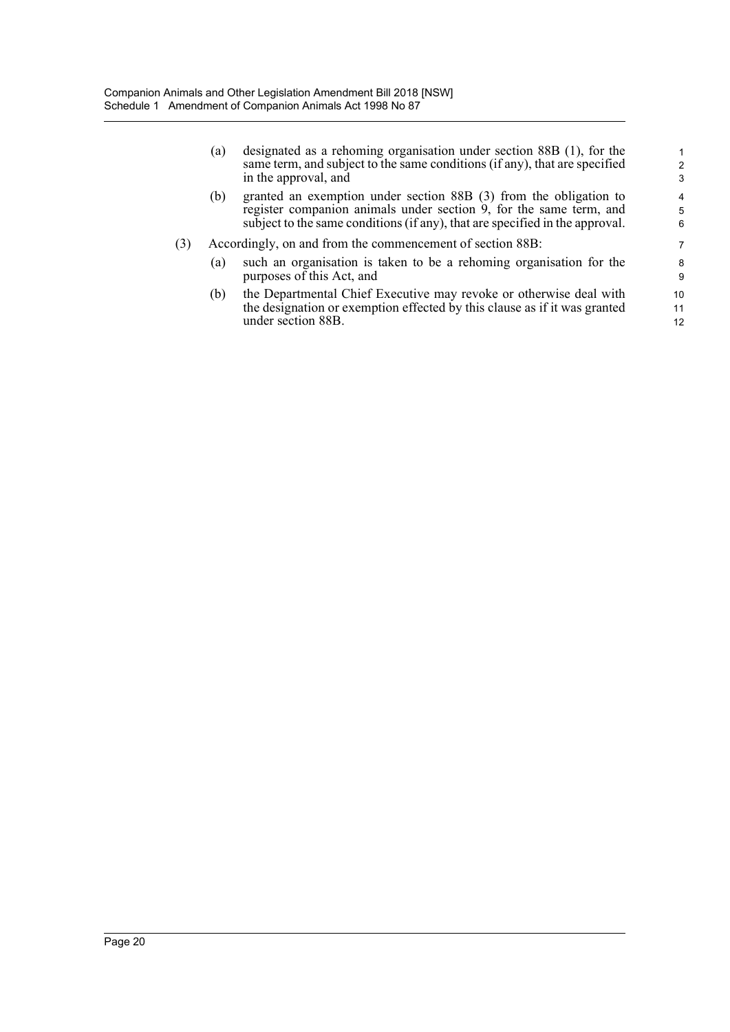(a) designated as a rehoming organisation under section 88B (1), for the same term, and subject to the same conditions (if any), that are specified in the approval, and

- (b) granted an exemption under section 88B (3) from the obligation to register companion animals under section 9, for the same term, and subject to the same conditions (if any), that are specified in the approval.
- (3) Accordingly, on and from the commencement of section 88B:
	- (a) such an organisation is taken to be a rehoming organisation for the purposes of this Act, and
	- (b) the Departmental Chief Executive may revoke or otherwise deal with the designation or exemption effected by this clause as if it was granted under section 88B.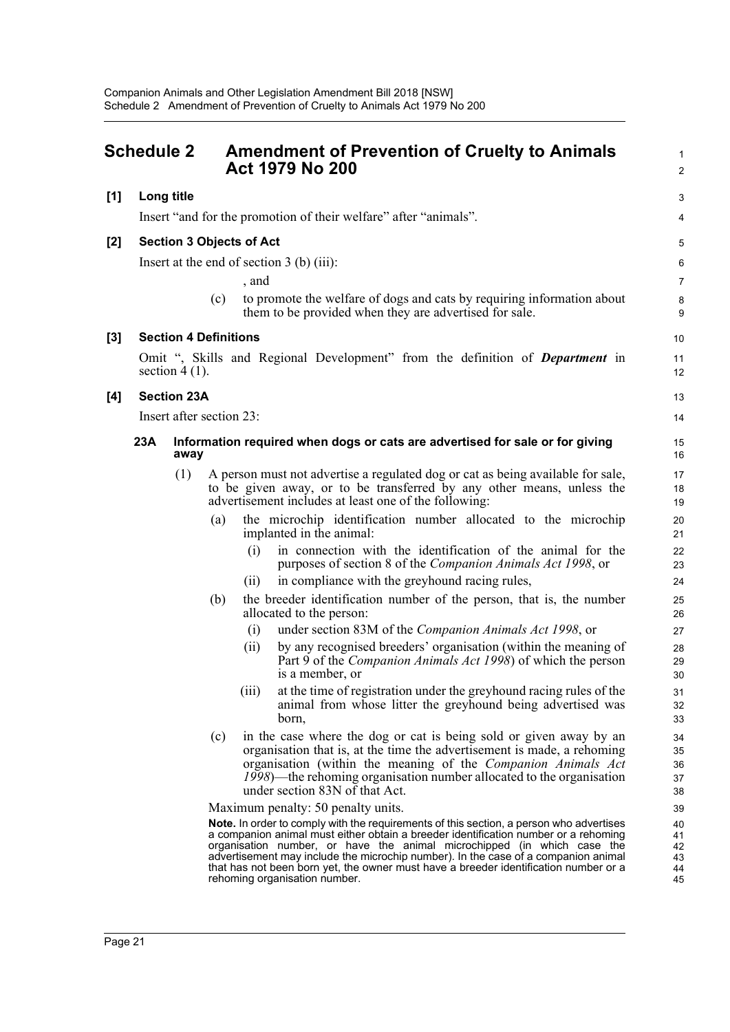<span id="page-27-0"></span>

| <b>Schedule 2</b> |                                                                                                                                                                                                                                                                                                                                                                                                                                                                                                                                                                                                                                                                                                                                                                                                                                                                                                                                                                                                                                                                                                                                                                                                                                                                                                                                                                                                                                                                                                                                                                                                                                                                                                                                                                                                                                                                                                                                                                                                                                                                                                                                   |   | <b>Amendment of Prevention of Cruelty to Animals</b><br><b>Act 1979 No 200</b> |                                                                                                                                                                                                                                                                                                                                                                               |                                  |  |
|-------------------|-----------------------------------------------------------------------------------------------------------------------------------------------------------------------------------------------------------------------------------------------------------------------------------------------------------------------------------------------------------------------------------------------------------------------------------------------------------------------------------------------------------------------------------------------------------------------------------------------------------------------------------------------------------------------------------------------------------------------------------------------------------------------------------------------------------------------------------------------------------------------------------------------------------------------------------------------------------------------------------------------------------------------------------------------------------------------------------------------------------------------------------------------------------------------------------------------------------------------------------------------------------------------------------------------------------------------------------------------------------------------------------------------------------------------------------------------------------------------------------------------------------------------------------------------------------------------------------------------------------------------------------------------------------------------------------------------------------------------------------------------------------------------------------------------------------------------------------------------------------------------------------------------------------------------------------------------------------------------------------------------------------------------------------------------------------------------------------------------------------------------------------|---|--------------------------------------------------------------------------------|-------------------------------------------------------------------------------------------------------------------------------------------------------------------------------------------------------------------------------------------------------------------------------------------------------------------------------------------------------------------------------|----------------------------------|--|
| [1]               |                                                                                                                                                                                                                                                                                                                                                                                                                                                                                                                                                                                                                                                                                                                                                                                                                                                                                                                                                                                                                                                                                                                                                                                                                                                                                                                                                                                                                                                                                                                                                                                                                                                                                                                                                                                                                                                                                                                                                                                                                                                                                                                                   |   |                                                                                |                                                                                                                                                                                                                                                                                                                                                                               | 3                                |  |
|                   | Long title<br>Insert "and for the promotion of their welfare" after "animals".<br><b>Section 3 Objects of Act</b><br>Insert at the end of section $3$ (b) (iii):<br>, and<br>to promote the welfare of dogs and cats by requiring information about<br>(c)<br>them to be provided when they are advertised for sale.<br><b>Section 4 Definitions</b><br>Omit ", Skills and Regional Development" from the definition of <b>Department</b> in<br>section $4(1)$ .<br><b>Section 23A</b><br>Insert after section 23:<br>23A<br>Information required when dogs or cats are advertised for sale or for giving<br>away<br>(1)<br>A person must not advertise a regulated dog or cat as being available for sale,<br>to be given away, or to be transferred by any other means, unless the<br>advertisement includes at least one of the following:<br>the microchip identification number allocated to the microchip<br>(a)<br>implanted in the animal:<br>in connection with the identification of the animal for the<br>(i)<br>purposes of section 8 of the Companion Animals Act 1998, or<br>in compliance with the greyhound racing rules,<br>(11)<br>the breeder identification number of the person, that is, the number<br>(b)<br>allocated to the person:<br>under section 83M of the Companion Animals Act 1998, or<br>(i)<br>by any recognised breeders' organisation (within the meaning of<br>(ii)<br>Part 9 of the <i>Companion Animals Act 1998</i> ) of which the person<br>is a member, or<br>at the time of registration under the greyhound racing rules of the<br>(iii)<br>animal from whose litter the greyhound being advertised was<br>born,<br>in the case where the dog or cat is being sold or given away by an<br>(c)<br>organisation that is, at the time the advertisement is made, a rehoming<br>organisation (within the meaning of the Companion Animals Act<br>1998)—the rehoming organisation number allocated to the organisation<br>under section 83N of that Act.<br>Maximum penalty: 50 penalty units.<br>Note. In order to comply with the requirements of this section, a person who advertises | 4 |                                                                                |                                                                                                                                                                                                                                                                                                                                                                               |                                  |  |
| $[2]$             |                                                                                                                                                                                                                                                                                                                                                                                                                                                                                                                                                                                                                                                                                                                                                                                                                                                                                                                                                                                                                                                                                                                                                                                                                                                                                                                                                                                                                                                                                                                                                                                                                                                                                                                                                                                                                                                                                                                                                                                                                                                                                                                                   |   |                                                                                |                                                                                                                                                                                                                                                                                                                                                                               | 5                                |  |
|                   |                                                                                                                                                                                                                                                                                                                                                                                                                                                                                                                                                                                                                                                                                                                                                                                                                                                                                                                                                                                                                                                                                                                                                                                                                                                                                                                                                                                                                                                                                                                                                                                                                                                                                                                                                                                                                                                                                                                                                                                                                                                                                                                                   |   |                                                                                |                                                                                                                                                                                                                                                                                                                                                                               | 6                                |  |
|                   |                                                                                                                                                                                                                                                                                                                                                                                                                                                                                                                                                                                                                                                                                                                                                                                                                                                                                                                                                                                                                                                                                                                                                                                                                                                                                                                                                                                                                                                                                                                                                                                                                                                                                                                                                                                                                                                                                                                                                                                                                                                                                                                                   |   |                                                                                |                                                                                                                                                                                                                                                                                                                                                                               | $\overline{7}$                   |  |
|                   |                                                                                                                                                                                                                                                                                                                                                                                                                                                                                                                                                                                                                                                                                                                                                                                                                                                                                                                                                                                                                                                                                                                                                                                                                                                                                                                                                                                                                                                                                                                                                                                                                                                                                                                                                                                                                                                                                                                                                                                                                                                                                                                                   |   |                                                                                |                                                                                                                                                                                                                                                                                                                                                                               | 8<br>9                           |  |
| $[3]$             |                                                                                                                                                                                                                                                                                                                                                                                                                                                                                                                                                                                                                                                                                                                                                                                                                                                                                                                                                                                                                                                                                                                                                                                                                                                                                                                                                                                                                                                                                                                                                                                                                                                                                                                                                                                                                                                                                                                                                                                                                                                                                                                                   |   |                                                                                |                                                                                                                                                                                                                                                                                                                                                                               | 10                               |  |
|                   |                                                                                                                                                                                                                                                                                                                                                                                                                                                                                                                                                                                                                                                                                                                                                                                                                                                                                                                                                                                                                                                                                                                                                                                                                                                                                                                                                                                                                                                                                                                                                                                                                                                                                                                                                                                                                                                                                                                                                                                                                                                                                                                                   |   |                                                                                |                                                                                                                                                                                                                                                                                                                                                                               | 11<br>12                         |  |
| $[4]$             |                                                                                                                                                                                                                                                                                                                                                                                                                                                                                                                                                                                                                                                                                                                                                                                                                                                                                                                                                                                                                                                                                                                                                                                                                                                                                                                                                                                                                                                                                                                                                                                                                                                                                                                                                                                                                                                                                                                                                                                                                                                                                                                                   |   |                                                                                |                                                                                                                                                                                                                                                                                                                                                                               | 13                               |  |
|                   |                                                                                                                                                                                                                                                                                                                                                                                                                                                                                                                                                                                                                                                                                                                                                                                                                                                                                                                                                                                                                                                                                                                                                                                                                                                                                                                                                                                                                                                                                                                                                                                                                                                                                                                                                                                                                                                                                                                                                                                                                                                                                                                                   |   |                                                                                |                                                                                                                                                                                                                                                                                                                                                                               | 14                               |  |
|                   |                                                                                                                                                                                                                                                                                                                                                                                                                                                                                                                                                                                                                                                                                                                                                                                                                                                                                                                                                                                                                                                                                                                                                                                                                                                                                                                                                                                                                                                                                                                                                                                                                                                                                                                                                                                                                                                                                                                                                                                                                                                                                                                                   |   |                                                                                |                                                                                                                                                                                                                                                                                                                                                                               | 15<br>16                         |  |
|                   |                                                                                                                                                                                                                                                                                                                                                                                                                                                                                                                                                                                                                                                                                                                                                                                                                                                                                                                                                                                                                                                                                                                                                                                                                                                                                                                                                                                                                                                                                                                                                                                                                                                                                                                                                                                                                                                                                                                                                                                                                                                                                                                                   |   |                                                                                |                                                                                                                                                                                                                                                                                                                                                                               |                                  |  |
|                   |                                                                                                                                                                                                                                                                                                                                                                                                                                                                                                                                                                                                                                                                                                                                                                                                                                                                                                                                                                                                                                                                                                                                                                                                                                                                                                                                                                                                                                                                                                                                                                                                                                                                                                                                                                                                                                                                                                                                                                                                                                                                                                                                   |   |                                                                                |                                                                                                                                                                                                                                                                                                                                                                               | 20<br>21                         |  |
|                   |                                                                                                                                                                                                                                                                                                                                                                                                                                                                                                                                                                                                                                                                                                                                                                                                                                                                                                                                                                                                                                                                                                                                                                                                                                                                                                                                                                                                                                                                                                                                                                                                                                                                                                                                                                                                                                                                                                                                                                                                                                                                                                                                   |   |                                                                                |                                                                                                                                                                                                                                                                                                                                                                               | 22<br>23                         |  |
|                   |                                                                                                                                                                                                                                                                                                                                                                                                                                                                                                                                                                                                                                                                                                                                                                                                                                                                                                                                                                                                                                                                                                                                                                                                                                                                                                                                                                                                                                                                                                                                                                                                                                                                                                                                                                                                                                                                                                                                                                                                                                                                                                                                   |   |                                                                                |                                                                                                                                                                                                                                                                                                                                                                               | 24                               |  |
|                   |                                                                                                                                                                                                                                                                                                                                                                                                                                                                                                                                                                                                                                                                                                                                                                                                                                                                                                                                                                                                                                                                                                                                                                                                                                                                                                                                                                                                                                                                                                                                                                                                                                                                                                                                                                                                                                                                                                                                                                                                                                                                                                                                   |   |                                                                                |                                                                                                                                                                                                                                                                                                                                                                               | 25<br>26                         |  |
|                   |                                                                                                                                                                                                                                                                                                                                                                                                                                                                                                                                                                                                                                                                                                                                                                                                                                                                                                                                                                                                                                                                                                                                                                                                                                                                                                                                                                                                                                                                                                                                                                                                                                                                                                                                                                                                                                                                                                                                                                                                                                                                                                                                   |   |                                                                                |                                                                                                                                                                                                                                                                                                                                                                               | 27                               |  |
|                   |                                                                                                                                                                                                                                                                                                                                                                                                                                                                                                                                                                                                                                                                                                                                                                                                                                                                                                                                                                                                                                                                                                                                                                                                                                                                                                                                                                                                                                                                                                                                                                                                                                                                                                                                                                                                                                                                                                                                                                                                                                                                                                                                   |   |                                                                                |                                                                                                                                                                                                                                                                                                                                                                               | 28<br>29<br>30                   |  |
|                   |                                                                                                                                                                                                                                                                                                                                                                                                                                                                                                                                                                                                                                                                                                                                                                                                                                                                                                                                                                                                                                                                                                                                                                                                                                                                                                                                                                                                                                                                                                                                                                                                                                                                                                                                                                                                                                                                                                                                                                                                                                                                                                                                   |   |                                                                                |                                                                                                                                                                                                                                                                                                                                                                               | 31<br>32<br>33                   |  |
|                   |                                                                                                                                                                                                                                                                                                                                                                                                                                                                                                                                                                                                                                                                                                                                                                                                                                                                                                                                                                                                                                                                                                                                                                                                                                                                                                                                                                                                                                                                                                                                                                                                                                                                                                                                                                                                                                                                                                                                                                                                                                                                                                                                   |   |                                                                                |                                                                                                                                                                                                                                                                                                                                                                               | 34<br>35<br>36<br>37<br>38       |  |
|                   |                                                                                                                                                                                                                                                                                                                                                                                                                                                                                                                                                                                                                                                                                                                                                                                                                                                                                                                                                                                                                                                                                                                                                                                                                                                                                                                                                                                                                                                                                                                                                                                                                                                                                                                                                                                                                                                                                                                                                                                                                                                                                                                                   |   |                                                                                |                                                                                                                                                                                                                                                                                                                                                                               | 39                               |  |
|                   |                                                                                                                                                                                                                                                                                                                                                                                                                                                                                                                                                                                                                                                                                                                                                                                                                                                                                                                                                                                                                                                                                                                                                                                                                                                                                                                                                                                                                                                                                                                                                                                                                                                                                                                                                                                                                                                                                                                                                                                                                                                                                                                                   |   |                                                                                | a companion animal must either obtain a breeder identification number or a rehoming<br>organisation number, or have the animal microchipped (in which case the<br>advertisement may include the microchip number). In the case of a companion animal<br>that has not been born yet, the owner must have a breeder identification number or a<br>rehoming organisation number. | 40<br>41<br>42<br>43<br>44<br>45 |  |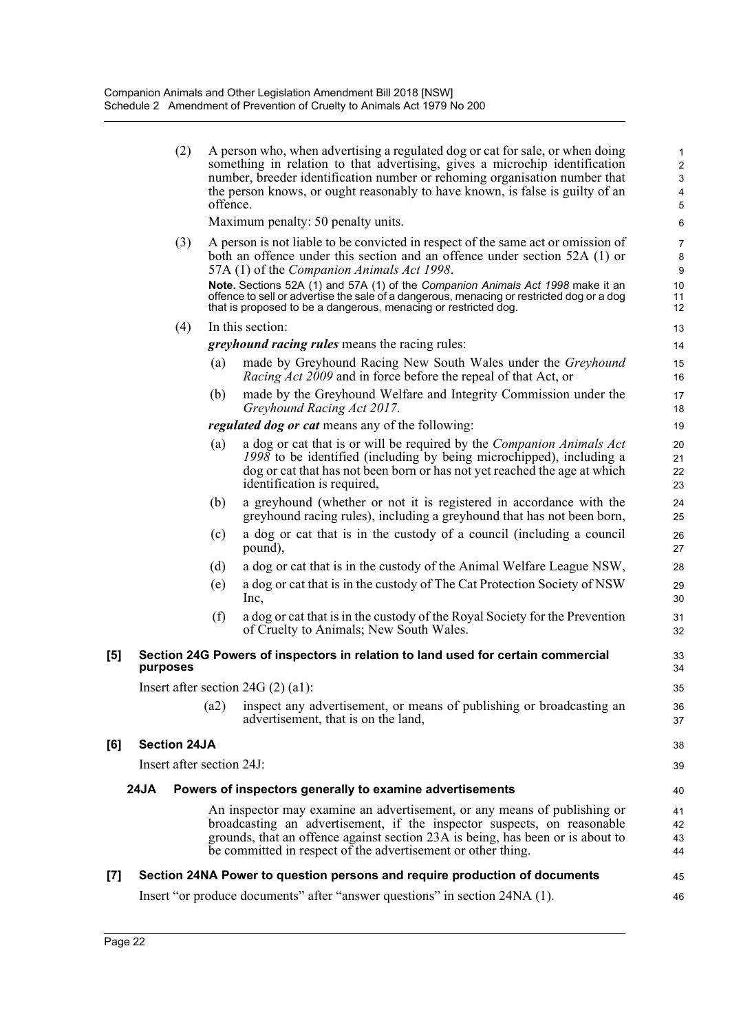| (2) | A person who, when advertising a regulated dog or cat for sale, or when doing |
|-----|-------------------------------------------------------------------------------|
|     | something in relation to that advertising, gives a microchip identification   |
|     | number, breeder identification number or rehoming organisation number that    |
|     | the person knows, or ought reasonably to have known, is false is guilty of an |
|     | offence.                                                                      |

45 46

Maximum penalty: 50 penalty units.

- (3) A person is not liable to be convicted in respect of the same act or omission of both an offence under this section and an offence under section 52A (1) or 57A (1) of the *Companion Animals Act 1998*. **Note.** Sections 52A (1) and 57A (1) of the *Companion Animals Act 1998* make it an offence to sell or advertise the sale of a dangerous, menacing or restricted dog or a dog that is proposed to be a dangerous, menacing or restricted dog.
- (4) In this section:

*greyhound racing rules* means the racing rules:

- (a) made by Greyhound Racing New South Wales under the *Greyhound Racing Act 2009* and in force before the repeal of that Act, or
- (b) made by the Greyhound Welfare and Integrity Commission under the *Greyhound Racing Act 2017*.
- *regulated dog or cat* means any of the following:
- (a) a dog or cat that is or will be required by the *Companion Animals Act 1998* to be identified (including by being microchipped), including a dog or cat that has not been born or has not yet reached the age at which identification is required,
- (b) a greyhound (whether or not it is registered in accordance with the greyhound racing rules), including a greyhound that has not been born,
- (c) a dog or cat that is in the custody of a council (including a council pound),
- (d) a dog or cat that is in the custody of the Animal Welfare League NSW,
- (e) a dog or cat that is in the custody of The Cat Protection Society of NSW Inc,
- (f) a dog or cat that is in the custody of the Royal Society for the Prevention of Cruelty to Animals; New South Wales.

### **[5] Section 24G Powers of inspectors in relation to land used for certain commercial purposes**

Insert after section 24G (2) (a1):

(a2) inspect any advertisement, or means of publishing or broadcasting an advertisement, that is on the land,

### **[6] Section 24JA**

Insert after section 24J:

### **24JA Powers of inspectors generally to examine advertisements**

An inspector may examine an advertisement, or any means of publishing or broadcasting an advertisement, if the inspector suspects, on reasonable grounds, that an offence against section 23A is being, has been or is about to be committed in respect of the advertisement or other thing.

### **[7] Section 24NA Power to question persons and require production of documents**

Insert "or produce documents" after "answer questions" in section 24NA (1).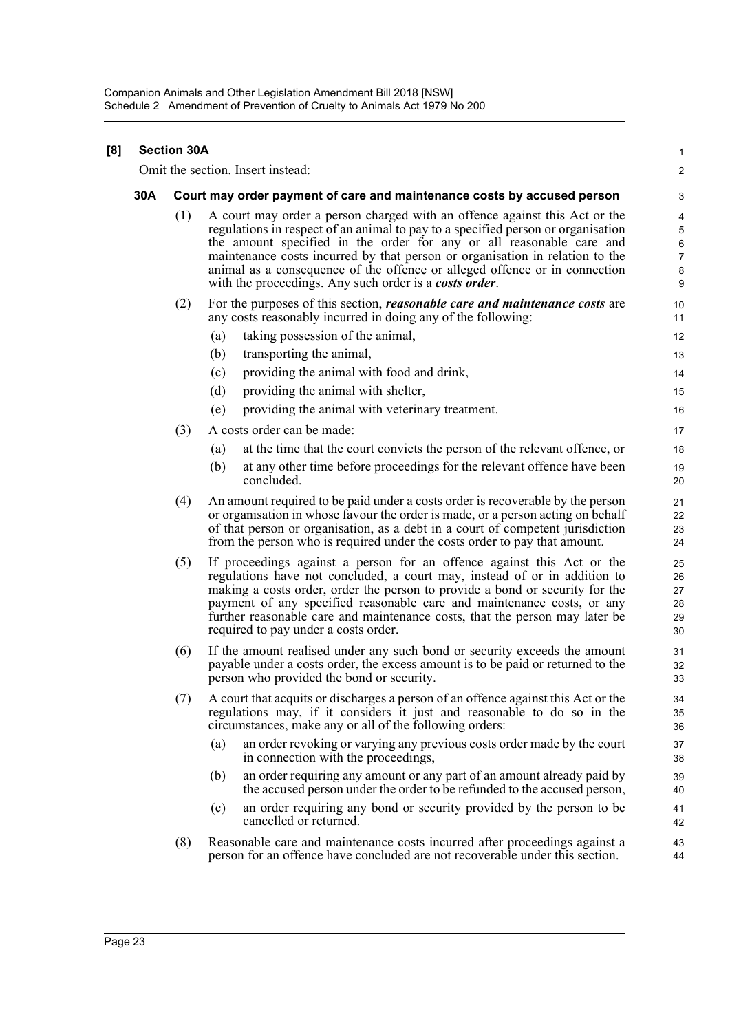| [8] | <b>Section 30A</b> |                                                                         |                                                                                                                                                                                                                                                                                                                                                                                                                                                                |                                  |  |  |  |  |
|-----|--------------------|-------------------------------------------------------------------------|----------------------------------------------------------------------------------------------------------------------------------------------------------------------------------------------------------------------------------------------------------------------------------------------------------------------------------------------------------------------------------------------------------------------------------------------------------------|----------------------------------|--|--|--|--|
|     |                    | Omit the section. Insert instead:                                       |                                                                                                                                                                                                                                                                                                                                                                                                                                                                |                                  |  |  |  |  |
|     | 30A                | Court may order payment of care and maintenance costs by accused person |                                                                                                                                                                                                                                                                                                                                                                                                                                                                |                                  |  |  |  |  |
|     |                    | (1)                                                                     | A court may order a person charged with an offence against this Act or the<br>regulations in respect of an animal to pay to a specified person or organisation<br>the amount specified in the order for any or all reasonable care and<br>maintenance costs incurred by that person or organisation in relation to the<br>animal as a consequence of the offence or alleged offence or in connection<br>with the proceedings. Any such order is a costs order. |                                  |  |  |  |  |
|     |                    | (2)                                                                     | For the purposes of this section, <i>reasonable care and maintenance costs</i> are<br>any costs reasonably incurred in doing any of the following:                                                                                                                                                                                                                                                                                                             |                                  |  |  |  |  |
|     |                    |                                                                         | taking possession of the animal,<br>(a)                                                                                                                                                                                                                                                                                                                                                                                                                        | 12                               |  |  |  |  |
|     |                    |                                                                         | transporting the animal,<br>(b)                                                                                                                                                                                                                                                                                                                                                                                                                                | 13                               |  |  |  |  |
|     |                    |                                                                         | providing the animal with food and drink,<br>(c)                                                                                                                                                                                                                                                                                                                                                                                                               | 14                               |  |  |  |  |
|     |                    |                                                                         | (d)<br>providing the animal with shelter,                                                                                                                                                                                                                                                                                                                                                                                                                      | 15                               |  |  |  |  |
|     |                    |                                                                         | providing the animal with veterinary treatment.<br>(e)                                                                                                                                                                                                                                                                                                                                                                                                         | 16                               |  |  |  |  |
|     |                    | (3)                                                                     | A costs order can be made:                                                                                                                                                                                                                                                                                                                                                                                                                                     | 17                               |  |  |  |  |
|     |                    |                                                                         | at the time that the court convicts the person of the relevant offence, or<br>(a)                                                                                                                                                                                                                                                                                                                                                                              | 18                               |  |  |  |  |
|     |                    |                                                                         | at any other time before proceedings for the relevant offence have been<br>(b)<br>concluded.                                                                                                                                                                                                                                                                                                                                                                   | 19<br>20                         |  |  |  |  |
|     |                    | (4)                                                                     | An amount required to be paid under a costs order is recoverable by the person<br>or organisation in whose favour the order is made, or a person acting on behalf<br>of that person or organisation, as a debt in a court of competent jurisdiction<br>from the person who is required under the costs order to pay that amount.                                                                                                                               | 21<br>22<br>23<br>24             |  |  |  |  |
|     |                    | (5)                                                                     | If proceedings against a person for an offence against this Act or the<br>regulations have not concluded, a court may, instead of or in addition to<br>making a costs order, order the person to provide a bond or security for the<br>payment of any specified reasonable care and maintenance costs, or any<br>further reasonable care and maintenance costs, that the person may later be<br>required to pay under a costs order.                           | 25<br>26<br>27<br>28<br>29<br>30 |  |  |  |  |
|     |                    | (6)                                                                     | If the amount realised under any such bond or security exceeds the amount<br>payable under a costs order, the excess amount is to be paid or returned to the<br>person who provided the bond or security.                                                                                                                                                                                                                                                      | 31<br>32<br>33                   |  |  |  |  |
|     |                    | (7)                                                                     | A court that acquits or discharges a person of an offence against this Act or the<br>regulations may, if it considers it just and reasonable to do so in the<br>circumstances, make any or all of the following orders:                                                                                                                                                                                                                                        | 34<br>35<br>36                   |  |  |  |  |
|     |                    |                                                                         | an order revoking or varying any previous costs order made by the court<br>(a)<br>in connection with the proceedings,                                                                                                                                                                                                                                                                                                                                          | 37<br>38                         |  |  |  |  |
|     |                    |                                                                         | an order requiring any amount or any part of an amount already paid by<br>(b)<br>the accused person under the order to be refunded to the accused person,                                                                                                                                                                                                                                                                                                      | 39<br>40                         |  |  |  |  |
|     |                    |                                                                         | an order requiring any bond or security provided by the person to be<br>(c)<br>cancelled or returned.                                                                                                                                                                                                                                                                                                                                                          | 41<br>42                         |  |  |  |  |
|     |                    | (8)                                                                     | Reasonable care and maintenance costs incurred after proceedings against a<br>person for an offence have concluded are not recoverable under this section.                                                                                                                                                                                                                                                                                                     | 43<br>44                         |  |  |  |  |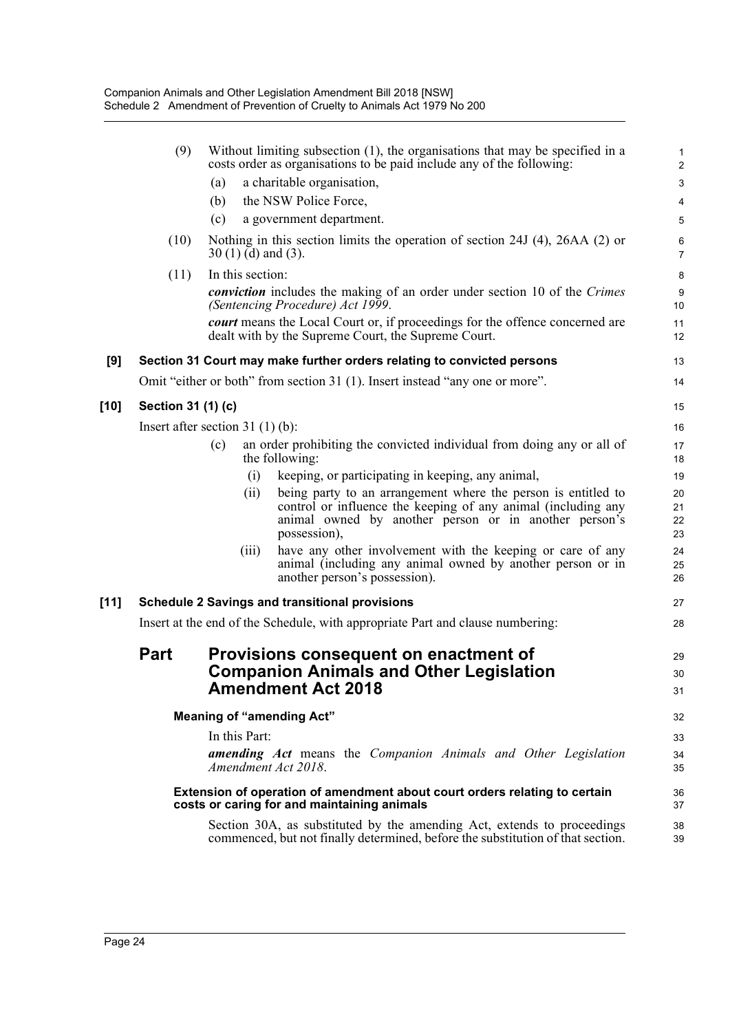|        | (9)                                                                                                                                 | Without limiting subsection $(1)$ , the organisations that may be specified in a<br>costs order as organisations to be paid include any of the following: |                                                                                                                                                                                                         |                           |  |  |  |
|--------|-------------------------------------------------------------------------------------------------------------------------------------|-----------------------------------------------------------------------------------------------------------------------------------------------------------|---------------------------------------------------------------------------------------------------------------------------------------------------------------------------------------------------------|---------------------------|--|--|--|
|        |                                                                                                                                     | (a)                                                                                                                                                       | a charitable organisation,                                                                                                                                                                              | $\ensuremath{\mathsf{3}}$ |  |  |  |
|        |                                                                                                                                     | (b)                                                                                                                                                       | the NSW Police Force,                                                                                                                                                                                   | $\overline{\mathbf{4}}$   |  |  |  |
|        |                                                                                                                                     | (c)                                                                                                                                                       | a government department.                                                                                                                                                                                | 5                         |  |  |  |
|        | (10)                                                                                                                                | $30(1)$ (d) and (3).                                                                                                                                      | Nothing in this section limits the operation of section 24J $(4)$ , 26AA $(2)$ or                                                                                                                       | 6<br>7                    |  |  |  |
|        | (11)                                                                                                                                | In this section:                                                                                                                                          |                                                                                                                                                                                                         | 8                         |  |  |  |
|        |                                                                                                                                     |                                                                                                                                                           | <i>conviction</i> includes the making of an order under section 10 of the Crimes<br>(Sentencing Procedure) Act 1999.                                                                                    | $\boldsymbol{9}$<br>10    |  |  |  |
|        |                                                                                                                                     |                                                                                                                                                           | <b><i>court</i></b> means the Local Court or, if proceedings for the offence concerned are<br>dealt with by the Supreme Court, the Supreme Court.                                                       | 11<br>12                  |  |  |  |
| [9]    |                                                                                                                                     |                                                                                                                                                           | Section 31 Court may make further orders relating to convicted persons                                                                                                                                  | 13                        |  |  |  |
|        | Omit "either or both" from section 31 (1). Insert instead "any one or more".                                                        |                                                                                                                                                           |                                                                                                                                                                                                         |                           |  |  |  |
| [10]   | Section 31 (1) (c)                                                                                                                  |                                                                                                                                                           |                                                                                                                                                                                                         | 15                        |  |  |  |
|        | Insert after section $31(1)(b)$ :                                                                                                   |                                                                                                                                                           |                                                                                                                                                                                                         |                           |  |  |  |
|        |                                                                                                                                     | an order prohibiting the convicted individual from doing any or all of<br>(c)<br>the following:                                                           |                                                                                                                                                                                                         |                           |  |  |  |
|        |                                                                                                                                     | (i)                                                                                                                                                       | keeping, or participating in keeping, any animal,                                                                                                                                                       | 19                        |  |  |  |
|        |                                                                                                                                     | (ii)                                                                                                                                                      | being party to an arrangement where the person is entitled to<br>control or influence the keeping of any animal (including any<br>animal owned by another person or in another person's<br>possession), | 20<br>21<br>22<br>23      |  |  |  |
|        |                                                                                                                                     | (iii)                                                                                                                                                     | have any other involvement with the keeping or care of any<br>animal (including any animal owned by another person or in<br>another person's possession).                                               | 24<br>25<br>26            |  |  |  |
| $[11]$ | <b>Schedule 2 Savings and transitional provisions</b>                                                                               |                                                                                                                                                           |                                                                                                                                                                                                         |                           |  |  |  |
|        | Insert at the end of the Schedule, with appropriate Part and clause numbering:                                                      |                                                                                                                                                           |                                                                                                                                                                                                         |                           |  |  |  |
|        | <b>Part</b><br>Provisions consequent on enactment of<br><b>Companion Animals and Other Legislation</b><br><b>Amendment Act 2018</b> |                                                                                                                                                           |                                                                                                                                                                                                         |                           |  |  |  |
|        | <b>Meaning of "amending Act"</b>                                                                                                    |                                                                                                                                                           |                                                                                                                                                                                                         |                           |  |  |  |
|        |                                                                                                                                     | In this Part:                                                                                                                                             |                                                                                                                                                                                                         | 33                        |  |  |  |
|        |                                                                                                                                     | Amendment Act 2018.                                                                                                                                       | amending Act means the Companion Animals and Other Legislation                                                                                                                                          | 34<br>35                  |  |  |  |
|        |                                                                                                                                     |                                                                                                                                                           | Extension of operation of amendment about court orders relating to certain<br>costs or caring for and maintaining animals                                                                               | 36<br>37                  |  |  |  |
|        |                                                                                                                                     |                                                                                                                                                           | Section 30A, as substituted by the amending Act, extends to proceedings<br>commenced, but not finally determined, before the substitution of that section.                                              | 38<br>39                  |  |  |  |